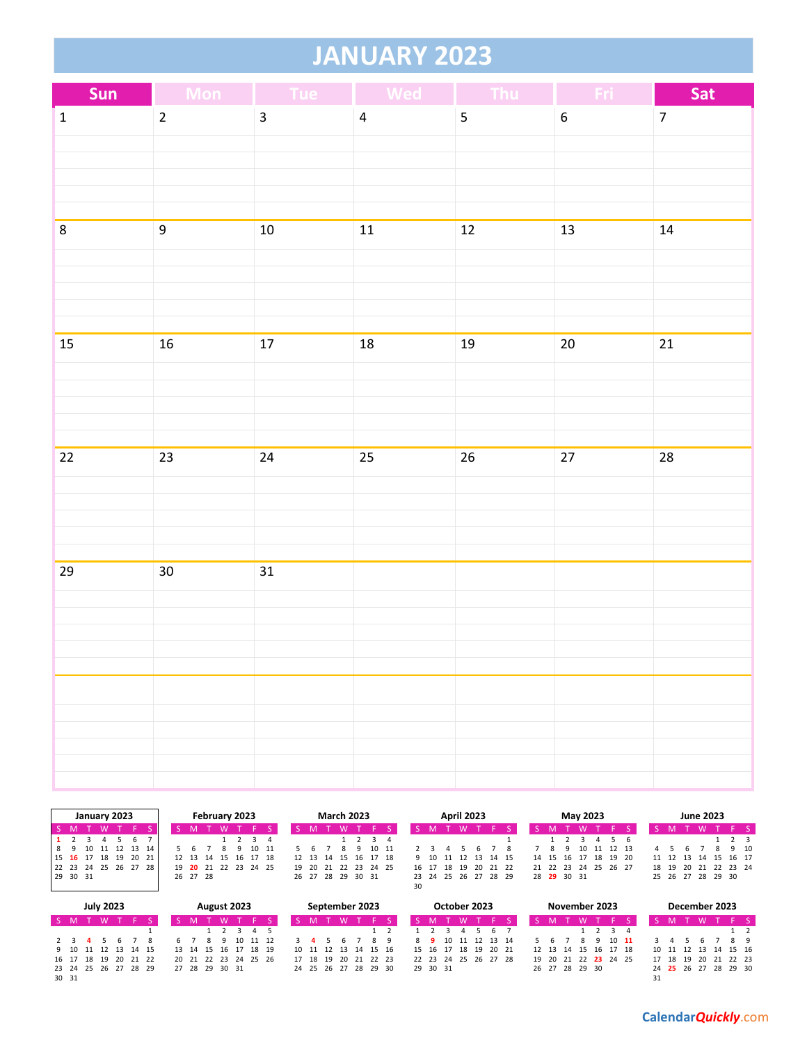## **JANUARY 2023**

| Sun          | $\blacklozenge$<br>Mon |                         | Tue Wed Thu    |                         | Fri :            | Sat            |
|--------------|------------------------|-------------------------|----------------|-------------------------|------------------|----------------|
| $\mathbf{1}$ | $\overline{2}$         | $\overline{\mathbf{3}}$ | $\overline{4}$ | $\overline{\mathbf{5}}$ | $\boldsymbol{6}$ | $\overline{7}$ |
|              |                        |                         |                |                         |                  |                |
|              |                        |                         |                |                         |                  |                |
|              |                        |                         |                |                         |                  |                |
|              |                        |                         |                |                         |                  |                |
| $\bf 8$      | $\overline{9}$         | $10\,$                  | $11$           | $12\,$                  | 13               | 14             |
|              |                        |                         |                |                         |                  |                |
|              |                        |                         |                |                         |                  |                |
|              |                        |                         |                |                         |                  |                |
| 15           | $16\,$                 | $17\,$                  | $18\,$         | 19                      | $20\,$           | 21             |
|              |                        |                         |                |                         |                  |                |
|              |                        |                         |                |                         |                  |                |
|              |                        |                         |                |                         |                  |                |
|              |                        |                         |                |                         |                  |                |
| $22\,$       | $23\,$                 | $24\,$                  | 25             | $26\,$                  | 27               | 28             |
|              |                        |                         |                |                         |                  |                |
|              |                        |                         |                |                         |                  |                |
|              |                        |                         |                |                         |                  |                |
|              |                        |                         |                |                         |                  |                |
| 29           | $30\,$                 | 31                      |                |                         |                  |                |
|              |                        |                         |                |                         |                  |                |
|              |                        |                         |                |                         |                  |                |
|              |                        |                         |                |                         |                  |                |
|              |                        |                         |                |                         |                  |                |
|              |                        |                         |                |                         |                  |                |
|              |                        |                         |                |                         |                  |                |
|              |                        |                         |                |                         |                  |                |
|              |                        |                         |                |                         |                  |                |

|             |  | January 2023   |          |  | February 2023 |          |  |                 |  |          |       |    |    | <b>March 2023</b> |   |             |             |    |       |      | <b>April 2023</b> |    |                      |       |  |             |    | May 2023 |          |    |    |      | <b>June 2023</b>  |                      |      |
|-------------|--|----------------|----------|--|---------------|----------|--|-----------------|--|----------|-------|----|----|-------------------|---|-------------|-------------|----|-------|------|-------------------|----|----------------------|-------|--|-------------|----|----------|----------|----|----|------|-------------------|----------------------|------|
| S M         |  |                |          |  |               |          |  |                 |  |          |       |    |    |                   |   |             |             |    |       |      |                   |    |                      |       |  |             |    |          |          |    |    |      |                   |                      |      |
|             |  |                | 6        |  |               |          |  |                 |  |          | 3 4   |    |    |                   |   | 1 2 3 4     |             |    |       |      |                   |    |                      |       |  |             |    |          |          |    |    |      |                   | 1 2 3                |      |
|             |  | 10 11 12 13 14 |          |  |               |          |  |                 |  |          | 10 11 |    |    |                   | ۰ | 10 11       |             |    |       |      |                   |    |                      |       |  | Q           | 10 |          | 11 12 13 | 4  |    |      |                   |                      | 9 10 |
| 15 16 17 18 |  |                | 19 20 21 |  |               | 12 13 14 |  | 15              |  | 16 17 18 |       |    |    | 12 13 14          |   |             | 15 16 17 18 |    | 9 10  | - 11 |                   |    | 12 13 14 15          |       |  | 14 15 16 17 |    |          | 18 19 20 |    |    |      |                   | 11 12 13 14 15 16 17 |      |
| 22 23 24 25 |  |                | 26 27 28 |  | 19            |          |  | <b>20</b> 21 22 |  | 23 24 25 |       | 19 | 20 | - 21              |   | 22 23 24 25 |             |    | 16 17 | 18   | - 19              | 20 |                      | 21 22 |  | 21 22 23    | 24 |          | 25 26 27 | 18 | 19 | - 20 |                   | 21 22 23 24          |      |
| 29 30 31    |  |                |          |  |               | 26 27 28 |  |                 |  |          |       |    |    | 26 27 28 29 30 31 |   |             |             |    |       |      |                   |    | 23 24 25 26 27 28 29 |       |  | 28 29 30 31 |    |          |          |    |    |      | 25 26 27 28 29 30 |                      |      |
|             |  |                |          |  |               |          |  |                 |  |          |       |    |    |                   |   |             |             | 30 |       |      |                   |    |                      |       |  |             |    |          |          |    |    |      |                   |                      |      |

|                      |             |     | <b>July 2023</b> |                      |  |    |                |   |   | August 2023 |                      |                      |    |       |          | September 2023       |  |          | October 2023         |             |  |                            |  |   | November 2023        |         |  |          | December 2023        |          |    |
|----------------------|-------------|-----|------------------|----------------------|--|----|----------------|---|---|-------------|----------------------|----------------------|----|-------|----------|----------------------|--|----------|----------------------|-------------|--|----------------------------|--|---|----------------------|---------|--|----------|----------------------|----------|----|
| S M                  |             | T W |                  |                      |  |    |                |   | W |             |                      |                      |    |       | <b>W</b> |                      |  |          | <b>W</b>             |             |  |                            |  | W |                      |         |  |          |                      |          |    |
|                      |             |     |                  |                      |  |    |                |   |   |             | 2 3 4 5              |                      |    |       |          |                      |  |          |                      | 567         |  |                            |  |   |                      | 1 2 3 4 |  |          |                      |          |    |
|                      | $2 \t3 \t4$ |     | -56              |                      |  | 67 |                | 8 |   |             | 10 11 12             |                      |    |       |          |                      |  |          | 8 9 10 11 12 13 14   |             |  |                            |  |   | $10 \quad 11$        |         |  |          |                      |          | 89 |
|                      |             |     |                  | 9 10 11 12 13 14 15  |  |    |                |   |   |             | 13 14 15 16 17 18 19 |                      |    |       |          | 10 11 12 13 14 15 16 |  | 15 16 17 |                      | 18 19 20 21 |  | 12  13  14  15  16  17  18 |  |   |                      |         |  |          | 10 11 12 13 14 15 16 |          |    |
|                      |             |     |                  | 16 17 18 19 20 21 22 |  |    |                |   |   |             |                      | 20 21 22 23 24 25 26 | 17 | 18 19 |          | 20 21 22 23          |  |          | 22 23 24 25 26 27 28 |             |  |                            |  |   | 19 20 21 22 23 24 25 |         |  | 17 18 19 | - 20                 | 21 22 23 |    |
| 23 24 25 26 27 28 29 |             |     |                  |                      |  |    | 27 28 29 30 31 |   |   |             |                      |                      |    |       |          | 24 25 26 27 28 29 30 |  | 29 30 31 |                      |             |  | 26 27 28 29 30             |  |   |                      |         |  |          | 24 25 26 27 28 29 30 |          |    |
| 30 31                |             |     |                  |                      |  |    |                |   |   |             |                      |                      |    |       |          |                      |  |          |                      |             |  |                            |  |   |                      |         |  |          |                      |          |    |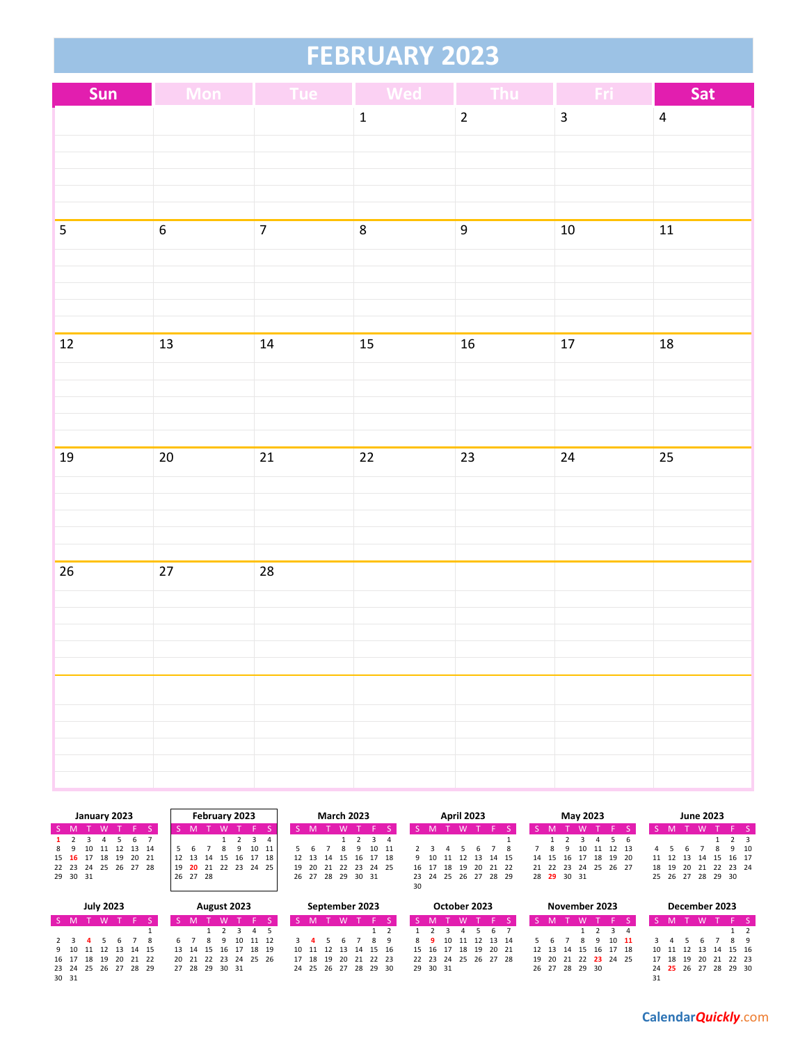## **FEBRUARY 2023**

| Sun                     |                  | Mon Tue Wed    |                 | Thu              | Fri                     | Sat            |
|-------------------------|------------------|----------------|-----------------|------------------|-------------------------|----------------|
|                         |                  |                | $\mathbf{1}$    | $\overline{2}$   | $\overline{\mathbf{3}}$ | $\overline{4}$ |
|                         |                  |                |                 |                  |                         |                |
|                         |                  |                |                 |                  |                         |                |
|                         |                  |                |                 |                  |                         |                |
|                         |                  |                |                 |                  |                         |                |
| $\overline{\mathbf{5}}$ | $\overline{6}$   | $\overline{7}$ | $\bf 8$         | $\boldsymbol{9}$ | $10\,$                  | $11$           |
|                         |                  |                |                 |                  |                         |                |
|                         |                  |                |                 |                  |                         |                |
|                         |                  |                |                 |                  |                         |                |
| 12                      | 13               | 14             | 15              | $16\,$           | 17                      | 18             |
|                         |                  |                |                 |                  |                         |                |
|                         |                  |                |                 |                  |                         |                |
|                         |                  |                |                 |                  |                         |                |
|                         |                  |                |                 |                  |                         |                |
| 19                      | $20\overline{)}$ | 21             | $\overline{22}$ | $23\,$           | 24                      | 25             |
|                         |                  |                |                 |                  |                         |                |
|                         |                  |                |                 |                  |                         |                |
|                         |                  |                |                 |                  |                         |                |
|                         |                  |                |                 |                  |                         |                |
| 26                      | $27\,$           | 28             |                 |                  |                         |                |
|                         |                  |                |                 |                  |                         |                |
|                         |                  |                |                 |                  |                         |                |
|                         |                  |                |                 |                  |                         |                |
|                         |                  |                |                 |                  |                         |                |
|                         |                  |                |                 |                  |                         |                |
|                         |                  |                |                 |                  |                         |                |
|                         |                  |                |                 |                  |                         |                |
|                         |                  |                |                 |                  |                         |                |

|             | February 2023<br>January 2023 |  |  |                      |   |  |    |  |          |    |                   |    | <b>March 2023</b> |    |          |                   |          |             | <b>April 2023</b> |       |    |    |    |                      | May 2023 |             |   |    | <b>June 2023</b> |   |       |                      |       |  |
|-------------|-------------------------------|--|--|----------------------|---|--|----|--|----------|----|-------------------|----|-------------------|----|----------|-------------------|----------|-------------|-------------------|-------|----|----|----|----------------------|----------|-------------|---|----|------------------|---|-------|----------------------|-------|--|
| S M         |                               |  |  |                      |   |  |    |  |          |    |                   |    |                   |    |          |                   |          |             |                   |       |    |    |    |                      |          |             |   |    |                  |   |       |                      |       |  |
| $1 \quad 2$ |                               |  |  |                      | 6 |  |    |  |          |    | 3 4               |    |                   |    |          |                   |          | 1 2 3 4     |                   |       |    |    |    |                      |          |             |   |    |                  |   |       |                      | 1 2 3 |  |
| 89          |                               |  |  | 10 11 12 13 14       |   |  |    |  |          |    | 10                | 11 |                   |    |          |                   | $\alpha$ | 10 11       |                   |       |    |    |    |                      | - 8      |             | ۹ |    | 10 11 12 13      | 4 |       |                      | 9 10  |  |
|             |                               |  |  | 15 16 17 18 19 20 21 |   |  |    |  | 12 13 14 | 15 | 16 17             | 18 |                   |    | 12 13 14 |                   |          | 15 16 17 18 |                   | 9 10  |    |    |    | 11 12 13 14 15       |          | 14 15 16 17 |   |    | 18 19 20         |   |       | 11 12 13 14 15 16 17 |       |  |
|             |                               |  |  | 22 23 24 25 26 27 28 |   |  | 19 |  |          |    | 20 21 22 23 24 25 |    | 19                | 20 | 21       |                   |          | 22 23 24 25 |                   | 16 17 | 18 | 19 | 20 | 21 22                |          | 21 22 23    |   | 24 | 25 26 27         |   | 18 19 | 20 21 22 23 24       |       |  |
|             | 29 30 31                      |  |  |                      |   |  |    |  | 26 27 28 |    |                   |    |                   |    |          | 26 27 28 29 30 31 |          |             |                   |       |    |    |    | 23 24 25 26 27 28 29 |          | 28 29 30 31 |   |    |                  |   |       | 25 26 27 28 29 30    |       |  |
|             |                               |  |  |                      |   |  |    |  |          |    |                   |    |                   |    |          |                   |          |             | 30                |       |    |    |    |                      |          |             |   |    |                  |   |       |                      |       |  |

|       |  | <b>July 2023</b> |                     |                      |  |   |   | August 2023          |       |                      |          | September 2023 |  |          | October 2023         |     |                      |                                  | November 2023 |  |               |  |  | December 2023        |    |  |
|-------|--|------------------|---------------------|----------------------|--|---|---|----------------------|-------|----------------------|----------|----------------|--|----------|----------------------|-----|----------------------|----------------------------------|---------------|--|---------------|--|--|----------------------|----|--|
|       |  | S M T W          |                     |                      |  |   |   |                      |       |                      |          |                |  |          |                      |     |                      |                                  |               |  |               |  |  |                      |    |  |
|       |  |                  |                     |                      |  |   |   | 1 2 3 4 5            |       |                      |          |                |  |          |                      | 567 |                      |                                  |               |  |               |  |  |                      |    |  |
|       |  | 2 3 4 5          |                     |                      |  | 8 | q | 10                   | 11 12 |                      | <b>h</b> |                |  |          | 10 11 12 13 14       |     |                      |                                  |               |  | $10 \quad 11$ |  |  |                      | 89 |  |
|       |  |                  | 9 10 11 12 13 14 15 |                      |  |   |   | 13 14 15 16 17 18 19 |       | 10 11 12 13 14 15 16 |          |                |  |          | 15 16 17 18 19 20 21 |     |                      | 12   13   14   15   16   17   18 |               |  |               |  |  | 10 11 12 13 14 15 16 |    |  |
|       |  |                  |                     | 16 17 18 19 20 21 22 |  |   |   | 20 21 22 23 24 25 26 |       | 17 18 19 20 21 22 23 |          |                |  |          |                      |     | 22 23 24 25 26 27 28 | 19 20 21 22 23 24 25             |               |  |               |  |  | 17 18 19 20 21 22 23 |    |  |
|       |  |                  |                     | 23 24 25 26 27 28 29 |  |   |   | 27 28 29 30 31       |       | 24 25 26 27 28 29 30 |          |                |  | 29 30 31 |                      |     |                      | 26 27 28 29 30                   |               |  |               |  |  | 24 25 26 27 28 29 30 |    |  |
| 30 31 |  |                  |                     |                      |  |   |   |                      |       |                      |          |                |  |          |                      |     |                      |                                  |               |  |               |  |  |                      |    |  |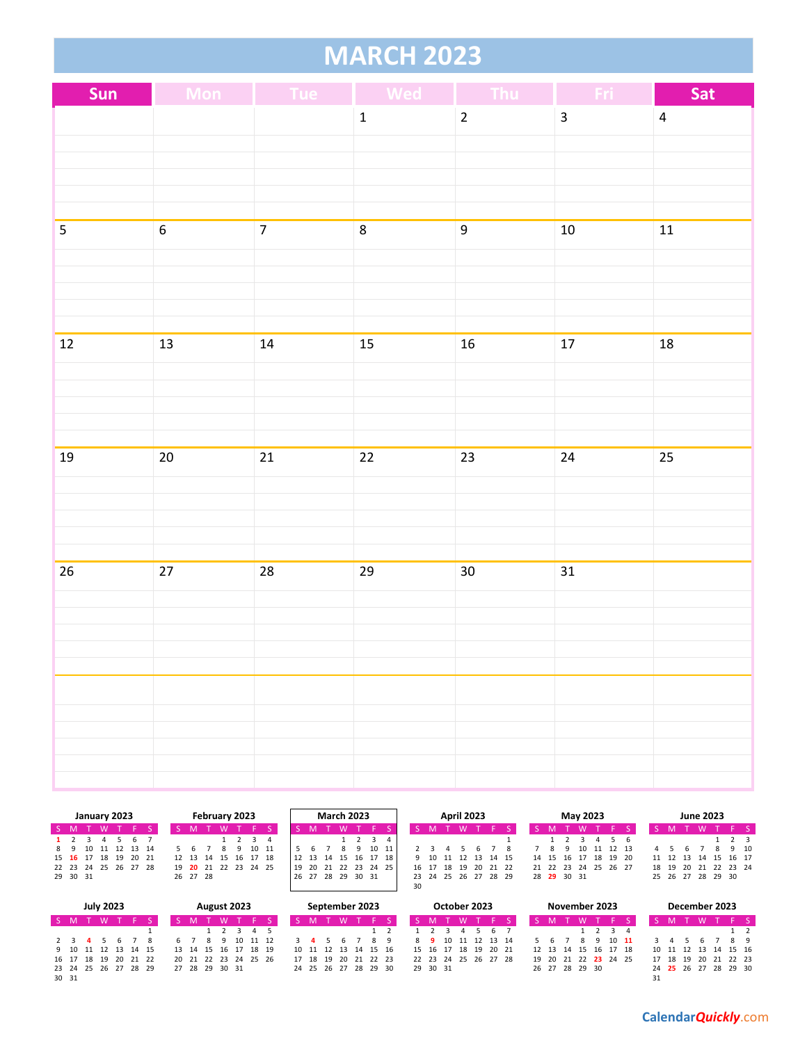|--|

| Sun                     | <b>Mon</b>       | <b>Example 1</b> Tue Med |                 | Thu            | Fri                     | Sat            |
|-------------------------|------------------|--------------------------|-----------------|----------------|-------------------------|----------------|
|                         |                  |                          | $\mathbf 1$     | $\overline{2}$ | $\overline{\mathbf{3}}$ | $\overline{4}$ |
|                         |                  |                          |                 |                |                         |                |
|                         |                  |                          |                 |                |                         |                |
|                         |                  |                          |                 |                |                         |                |
|                         |                  |                          |                 |                |                         |                |
| $\overline{\mathbf{5}}$ | $\overline{6}$   | $\overline{7}$           | 8               | 9              | $10\,$                  | ${\bf 11}$     |
|                         |                  |                          |                 |                |                         |                |
|                         |                  |                          |                 |                |                         |                |
|                         |                  |                          |                 |                |                         |                |
|                         |                  |                          |                 |                |                         |                |
| $\overline{12}$         | 13               | 14                       | 15              | ${\bf 16}$     | $17\,$                  | $18\,$         |
|                         |                  |                          |                 |                |                         |                |
|                         |                  |                          |                 |                |                         |                |
|                         |                  |                          |                 |                |                         |                |
| $19\,$                  | $20\overline{)}$ | 21                       | $\overline{22}$ | 23             | 24                      | 25             |
|                         |                  |                          |                 |                |                         |                |
|                         |                  |                          |                 |                |                         |                |
|                         |                  |                          |                 |                |                         |                |
|                         |                  |                          |                 |                |                         |                |
| $26\,$                  | $27\,$           | 28                       | 29              | $30\,$         | 31                      |                |
|                         |                  |                          |                 |                |                         |                |
|                         |                  |                          |                 |                |                         |                |
|                         |                  |                          |                 |                |                         |                |
|                         |                  |                          |                 |                |                         |                |
|                         |                  |                          |                 |                |                         |                |
|                         |                  |                          |                 |                |                         |                |
|                         |                  |                          |                 |                |                         |                |
|                         |                  |                          |                 |                |                         |                |
|                         |                  |                          |                 |                |                         |                |

|             |          |          | January 2023 |                      |  |          | February 2023        |   |          |       | <b>March 2023</b> |          |                 |    |       | <b>April 2023</b> |                      |                |  |                      |          | May 2023 |          |   |          | <b>June 2023</b>           |      |  |
|-------------|----------|----------|--------------|----------------------|--|----------|----------------------|---|----------|-------|-------------------|----------|-----------------|----|-------|-------------------|----------------------|----------------|--|----------------------|----------|----------|----------|---|----------|----------------------------|------|--|
| S M         |          | <b>W</b> |              |                      |  |          | <b>W</b>             |   |          |       |                   |          |                 |    |       |                   |                      |                |  |                      | <b>W</b> |          |          |   |          |                            |      |  |
| $1 \quad 2$ |          |          |              |                      |  |          |                      |   |          |       |                   |          | $1 \t2 \t3 \t4$ |    |       |                   |                      |                |  |                      |          |          |          |   |          |                            |      |  |
| 89          |          |          |              | 10 11 12 13 14       |  |          |                      | Q | 10 11    |       |                   |          | 10 11           |    |       |                   |                      |                |  |                      | 10       |          | 11 12 13 | 4 |          |                            | 9 10 |  |
|             |          |          |              | 15 16 17 18 19 20 21 |  | 12 13 14 | 15                   |   | 16 17 18 | 12 13 | 14 15             |          | 16 17 18        |    |       |                   | 9 10 11 12 13 14 15  |                |  | 14 15 16 17          |          | 18 19 20 |          |   | 11 12 13 | 14 15 16 17                |      |  |
|             |          |          |              | 22 23 24 25 26 27 28 |  |          | 19 20 21 22 23 24 25 |   |          | l 19  | 20 21 22 23 24 25 |          |                 |    | 16 17 |                   |                      | 18 19 20 21 22 |  | 21 22 23 24 25 26 27 |          |          |          |   |          | 18  19  20  21  22  23  24 |      |  |
|             | 29 30 31 |          |              |                      |  | 26 27 28 |                      |   |          | 26 27 | 28                | 29 30 31 |                 |    |       |                   | 23 24 25 26 27 28 29 |                |  | 28 29 30 31          |          |          |          |   |          | 25 26 27 28 29 30          |      |  |
|             |          |          |              |                      |  |          |                      |   |          |       |                   |          |                 | 30 |       |                   |                      |                |  |                      |          |          |          |   |          |                            |      |  |
|             |          |          |              |                      |  |          |                      |   |          |       |                   |          |                 |    |       |                   |                      |                |  |                      |          |          |          |   |          |                            |      |  |

|                      |  | <b>July 2023</b> | August 2023 |                     |  |  |  |  |  |                |  |                      |                      | September 2023 |  |                      | October 2023 |                      |                |                | November 2023 |  |                            |         | December 2023 |  |                      |       |  |
|----------------------|--|------------------|-------------|---------------------|--|--|--|--|--|----------------|--|----------------------|----------------------|----------------|--|----------------------|--------------|----------------------|----------------|----------------|---------------|--|----------------------------|---------|---------------|--|----------------------|-------|--|
| S M                  |  | T W              |             |                     |  |  |  |  |  | M              |  |                      |                      |                |  |                      |              |                      |                |                | 'W T F S      |  |                            |         |               |  |                      | ∵ F S |  |
|                      |  |                  |             |                     |  |  |  |  |  |                |  | 1 2 3 4 5            |                      |                |  |                      |              |                      | $\overline{a}$ | 567            |               |  |                            | 1 2 3 4 |               |  |                      |       |  |
|                      |  | 2 3 4 5          | <b>b</b>    |                     |  |  |  |  |  |                |  |                      | 10 11 12             |                |  |                      |              |                      |                | 10 11 12 13 14 |               |  |                            |         | $10 \quad 11$ |  |                      | 89    |  |
|                      |  |                  |             | 9 10 11 12 13 14 15 |  |  |  |  |  |                |  | 13 14 15 16 17 18 19 |                      |                |  | 10 11 12 13 14 15 16 |              | 15 16 17 18 19 20 21 |                |                |               |  | 12  13  14  15  16  17  18 |         |               |  | 10 11 12 13 14 15 16 |       |  |
| 16 17 18 19 20 21 22 |  |                  |             |                     |  |  |  |  |  |                |  |                      | 20 21 22 23 24 25 26 |                |  | 17 18 19 20 21 22 23 |              | 22 23 24 25 26 27 28 |                |                |               |  | 19 20 21 22 23 24 25       |         |               |  | 17 18 19 20 21 22 23 |       |  |
| 23 24 25 26 27 28 29 |  |                  |             |                     |  |  |  |  |  | 27 28 29 30 31 |  |                      |                      |                |  | 24 25 26 27 28 29 30 |              | 29 30 31             |                |                |               |  | 26 27 28 29 30             |         |               |  | 24 25 26 27 28 29 30 |       |  |
| 30 31                |  |                  |             |                     |  |  |  |  |  |                |  |                      |                      |                |  |                      |              |                      |                |                |               |  |                            |         |               |  |                      |       |  |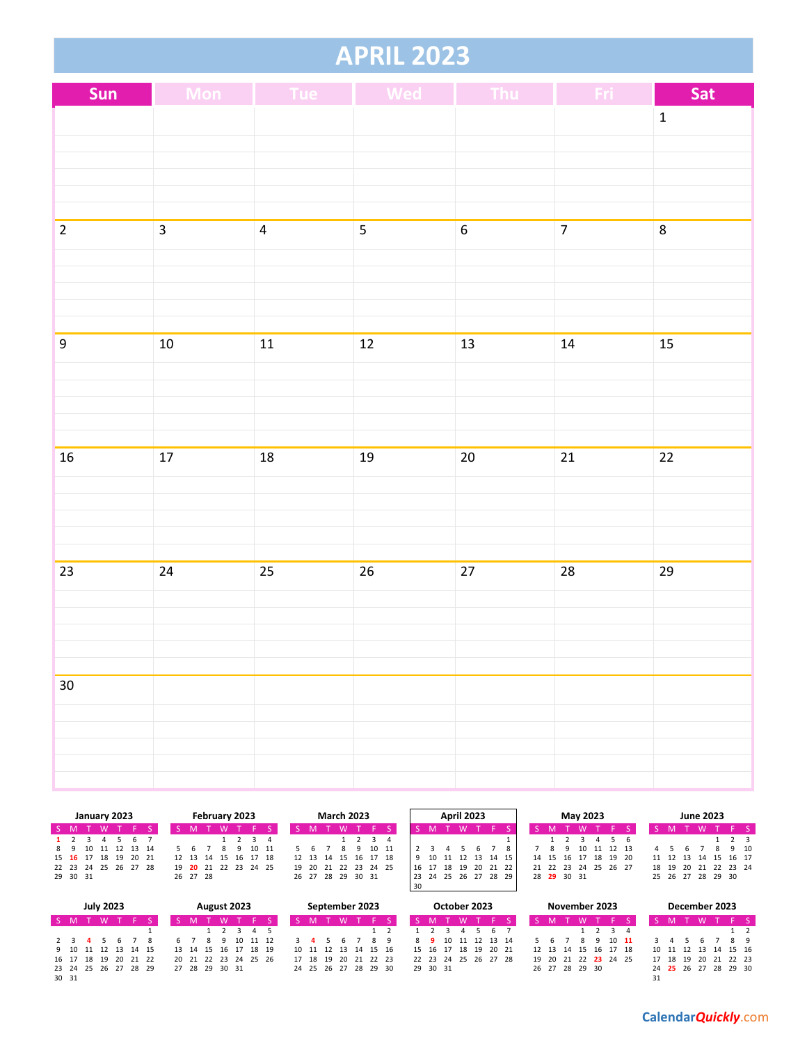#### **APRIL 2023**

| Sun              |                | Mon Tue Wed    |                | Thu Fri          |                | Sat          |
|------------------|----------------|----------------|----------------|------------------|----------------|--------------|
|                  |                |                |                |                  |                | $\mathbf{1}$ |
|                  |                |                |                |                  |                |              |
|                  |                |                |                |                  |                |              |
|                  |                |                |                |                  |                |              |
|                  |                |                |                |                  |                |              |
| $\overline{2}$   | $\overline{3}$ | $\overline{4}$ | $\overline{5}$ | $\boldsymbol{6}$ | $\overline{7}$ | 8            |
|                  |                |                |                |                  |                |              |
|                  |                |                |                |                  |                |              |
|                  |                |                |                |                  |                |              |
| $\boldsymbol{9}$ | $10\,$         | 11             | 12             | 13               | $\bf 14$       | 15           |
|                  |                |                |                |                  |                |              |
|                  |                |                |                |                  |                |              |
|                  |                |                |                |                  |                |              |
|                  |                |                |                |                  |                |              |
| $16\,$           | $17\,$         | ${\bf 18}$     | 19             | $20\,$           | $21\,$         | 22           |
|                  |                |                |                |                  |                |              |
|                  |                |                |                |                  |                |              |
|                  |                |                |                |                  |                |              |
| 23               | 24             | 25             | 26             | 27               | 28             | 29           |
|                  |                |                |                |                  |                |              |
|                  |                |                |                |                  |                |              |
|                  |                |                |                |                  |                |              |
|                  |                |                |                |                  |                |              |
| $30\,$           |                |                |                |                  |                |              |
|                  |                |                |                |                  |                |              |
|                  |                |                |                |                  |                |              |
|                  |                |                |                |                  |                |              |
|                  |                |                |                |                  |                |              |

|                      |    |        | January 2023         |    |  |  |          | February 2023 |                            |  | <b>March 2023</b>          |  |                  |                     |  |  |  | <b>April 2023</b> |  |                      |  | May 2023             |  |  |  |                      |  | <b>June 2023</b>  |  |  |  |
|----------------------|----|--------|----------------------|----|--|--|----------|---------------|----------------------------|--|----------------------------|--|------------------|---------------------|--|--|--|-------------------|--|----------------------|--|----------------------|--|--|--|----------------------|--|-------------------|--|--|--|
| IS M                 |    | $T$ M/ |                      |    |  |  |          | <b>W</b>      |                            |  |                            |  |                  |                     |  |  |  |                   |  |                      |  |                      |  |  |  |                      |  |                   |  |  |  |
| 1 2                  |    |        |                      | 56 |  |  |          |               |                            |  |                            |  | 1 2 3 4<br>10 11 |                     |  |  |  |                   |  |                      |  |                      |  |  |  | $1 \t2 \t3$          |  |                   |  |  |  |
|                      | 89 |        | 10 11 12 13 14       |    |  |  |          |               | 10 11                      |  |                            |  |                  |                     |  |  |  |                   |  | 9                    |  | 10 11 12 13          |  |  |  |                      |  | 9 10              |  |  |  |
| 15 16 17 18 19 20 21 |    |        |                      |    |  |  |          |               | 12  13  14  15  16  17  18 |  | 12  13  14  15  16  17  18 |  |                  | 9 10 11 12 13 14 15 |  |  |  |                   |  | 14 15 16 17 18 19 20 |  |                      |  |  |  | 11 12 13 14 15 16 17 |  |                   |  |  |  |
|                      |    |        | 22 23 24 25 26 27 28 |    |  |  |          |               | 19 20 21 22 23 24 25       |  | 19 20 21 22 23 24 25       |  |                  |                     |  |  |  |                   |  | 16 17 18 19 20 21 22 |  | 21 22 23 24 25 26 27 |  |  |  | 18 19                |  | 20 21 22 23 24    |  |  |  |
| 29 30 31             |    |        |                      |    |  |  | 26 27 28 |               |                            |  | 26 27 28 29 30 31          |  |                  |                     |  |  |  |                   |  | 23 24 25 26 27 28 29 |  | 28 29 30 31          |  |  |  |                      |  | 25 26 27 28 29 30 |  |  |  |
|                      |    |        |                      |    |  |  |          |               |                            |  |                            |  |                  | 30                  |  |  |  |                   |  |                      |  |                      |  |  |  |                      |  |                   |  |  |  |

|                      |       |       | <b>July 2023</b> |                     | August 2023 |  |  |  |                |    |                      |  |  |            |       | September 2023       |  |  |          | October 2023 |                      |                      |  | November 2023              |       |       |    |       | December 2023        |            |  |
|----------------------|-------|-------|------------------|---------------------|-------------|--|--|--|----------------|----|----------------------|--|--|------------|-------|----------------------|--|--|----------|--------------|----------------------|----------------------|--|----------------------------|-------|-------|----|-------|----------------------|------------|--|
| $S$ M                |       |       |                  |                     |             |  |  |  |                |    |                      |  |  |            |       |                      |  |  |          | M            |                      |                      |  |                            |       |       |    |       |                      |            |  |
|                      |       |       |                  |                     |             |  |  |  |                |    | 3 4 5                |  |  |            |       |                      |  |  |          | 4            | -6                   |                      |  |                            | 2 3 4 |       |    |       |                      |            |  |
| 2 3                  |       |       |                  |                     |             |  |  |  | Q              | 10 | 11 12                |  |  | 3 <b>4</b> |       |                      |  |  |          |              | 10 11 12 13 14       |                      |  |                            | 9     | 10 11 |    |       |                      | <b>R</b> 9 |  |
|                      |       |       |                  | 9 10 11 12 13 14 15 |             |  |  |  |                |    | 13 14 15 16 17 18 19 |  |  |            |       | 10 11 12 13 14 15 16 |  |  |          |              | 15 16 17 18 19 20 21 |                      |  | 12  13  14  15  16  17  18 |       |       |    |       | 10 11 12 13 14 15 16 |            |  |
|                      | 16 17 | 18 19 |                  | 20 21 22            |             |  |  |  |                |    | 20 21 22 23 24 25 26 |  |  |            | 18 19 | 20 21 22 23          |  |  |          |              |                      | 22 23 24 25 26 27 28 |  | 19 20 21 22 23 24 25       |       |       |    | 18 19 | 20 21 22 23          |            |  |
| 23 24 25 26 27 28 29 |       |       |                  |                     |             |  |  |  | 27 28 29 30 31 |    |                      |  |  |            |       | 24 25 26 27 28 29 30 |  |  | 29 30 31 |              |                      |                      |  | 26 27 28 29 30             |       |       |    |       | 24 25 26 27 28 29 30 |            |  |
| 30 31                |       |       |                  |                     |             |  |  |  |                |    |                      |  |  |            |       |                      |  |  |          |              |                      |                      |  |                            |       |       | 31 |       |                      |            |  |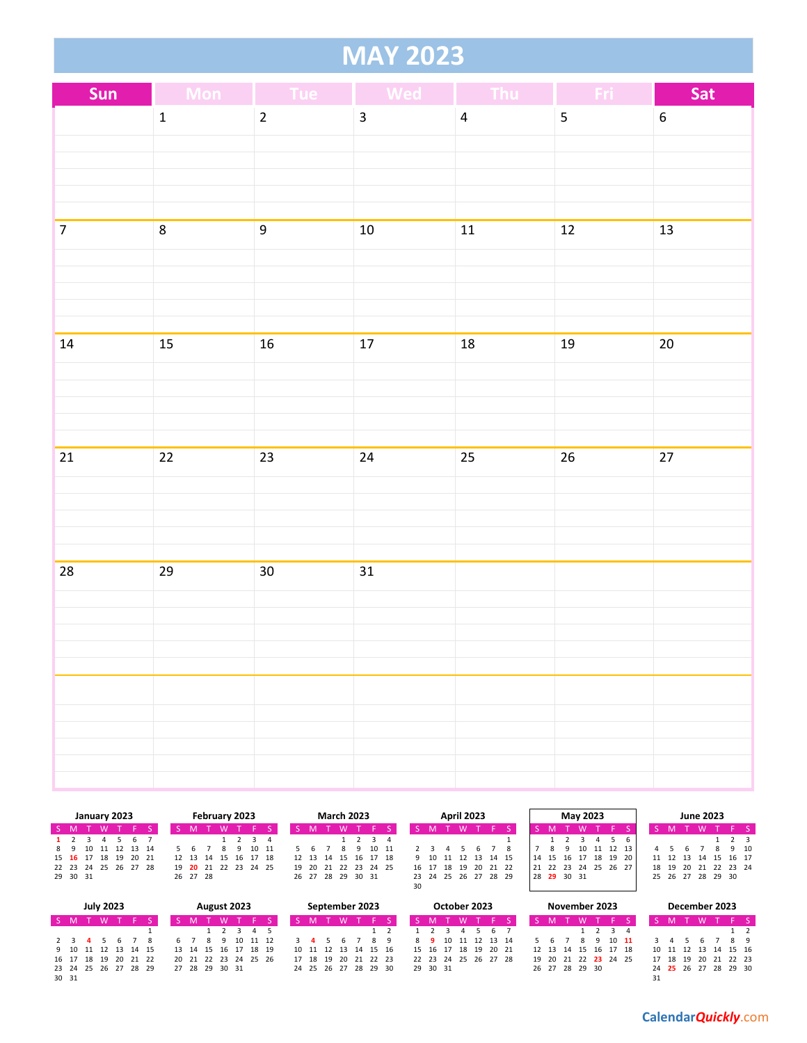#### **MAY 2023**

| Sun            | Mon Tue         |                  | <b>Wed</b>              | <b>Thursday</b>  | Fri                     | Sat              |
|----------------|-----------------|------------------|-------------------------|------------------|-------------------------|------------------|
|                | $\mathbf 1$     | $\overline{2}$   | $\overline{\mathbf{3}}$ | $\overline{4}$   | $\overline{\mathbf{5}}$ | $\boldsymbol{6}$ |
|                |                 |                  |                         |                  |                         |                  |
|                |                 |                  |                         |                  |                         |                  |
|                |                 |                  |                         |                  |                         |                  |
| $\overline{7}$ | $\overline{8}$  | $\boldsymbol{9}$ | $10\,$                  | ${\bf 11}$       | $12$                    | 13               |
|                |                 |                  |                         |                  |                         |                  |
|                |                 |                  |                         |                  |                         |                  |
|                |                 |                  |                         |                  |                         |                  |
|                |                 |                  |                         |                  |                         |                  |
| $14\,$         | $15\,$          | 16               | 17                      | $18\,$           | 19                      | 20               |
|                |                 |                  |                         |                  |                         |                  |
|                |                 |                  |                         |                  |                         |                  |
|                |                 |                  |                         |                  |                         |                  |
| 21             | $\overline{22}$ | 23               | $24\,$                  | $25\phantom{.0}$ | $26\,$                  | $27\,$           |
|                |                 |                  |                         |                  |                         |                  |
|                |                 |                  |                         |                  |                         |                  |
|                |                 |                  |                         |                  |                         |                  |
| 28             | 29              | 30 <sub>o</sub>  | 31                      |                  |                         |                  |
|                |                 |                  |                         |                  |                         |                  |
|                |                 |                  |                         |                  |                         |                  |
|                |                 |                  |                         |                  |                         |                  |
|                |                 |                  |                         |                  |                         |                  |
|                |                 |                  |                         |                  |                         |                  |
|                |                 |                  |                         |                  |                         |                  |
|                |                 |                  |                         |                  |                         |                  |
|                |                 |                  |                         |                  |                         |                  |

|                      |    | January 2023 |             | February 2023 |  |          |  |             |  |          |       |  |  | <b>March 2023</b>    |          |             |    |       | <b>April 2023</b> |                      |    |            |     | May 2023 |          |    |                   |       |          |       | <b>June 2023</b> |       |      |
|----------------------|----|--------------|-------------|---------------|--|----------|--|-------------|--|----------|-------|--|--|----------------------|----------|-------------|----|-------|-------------------|----------------------|----|------------|-----|----------|----------|----|-------------------|-------|----------|-------|------------------|-------|------|
| S M                  |    |              |             |               |  |          |  |             |  |          |       |  |  |                      |          |             |    |       |                   |                      |    |            |     |          |          |    |                   |       |          |       |                  |       |      |
| $1 \quad 2$          |    |              |             |               |  |          |  |             |  |          |       |  |  |                      |          | $3 \quad 4$ |    |       |                   |                      |    |            |     |          |          |    |                   |       |          |       |                  |       |      |
| 89                   | 10 |              | 11 12 13 14 |               |  |          |  |             |  |          | 10 11 |  |  |                      |          | 10 11       |    |       |                   |                      |    |            |     | 10       |          |    |                   |       |          |       |                  |       | 9 10 |
| 15 16 17 18 19 20 21 |    |              |             |               |  | 12 13 14 |  | 15          |  | 16 17 18 |       |  |  | 12 13 14 15          | 16 17 18 |             |    | 9 10  |                   | 11 12 13 14 15       | 14 | - 16<br>15 |     |          | 18 19    | 20 |                   |       | 11 12 13 | 14 15 |                  | 16 17 |      |
| 22 23 24 25 26 27 28 |    |              |             |               |  |          |  | 19 20 21 22 |  | 23 24 25 |       |  |  | 19 20 21 22 23 24 25 |          |             |    | 16 17 | 18 19             | 20 21 22             |    | 22 23      | -24 |          | 25 26 27 |    |                   | 18 19 |          |       | 20 21 22 23 24   |       |      |
| 29 30 31             |    |              |             |               |  | 26 27 28 |  |             |  |          |       |  |  | 26 27 28 29 30 31    |          |             |    |       |                   | 23 24 25 26 27 28 29 | 28 | 29 30 31   |     |          |          |    | 25 26 27 28 29 30 |       |          |       |                  |       |      |
|                      |    |              |             |               |  |          |  |             |  |          |       |  |  |                      |          |             | 30 |       |                   |                      |    |            |     |          |          |    |                   |       |          |       |                  |       |      |

|                      |                         | <b>July 2023</b> |                     |  |                |  | August 2023 |                      |    |  |  | September 2023       |  |          | October 2023         |             |  |                |  |          | November 2023              |               |                      | December 2023 |          |    |
|----------------------|-------------------------|------------------|---------------------|--|----------------|--|-------------|----------------------|----|--|--|----------------------|--|----------|----------------------|-------------|--|----------------|--|----------|----------------------------|---------------|----------------------|---------------|----------|----|
| S M                  |                         | T W              |                     |  |                |  |             |                      |    |  |  |                      |  |          | M                    |             |  |                |  | <b>W</b> |                            |               |                      |               | 'FS      |    |
|                      |                         |                  |                     |  |                |  |             | $3 \t3 \t4 \t5$      |    |  |  |                      |  |          |                      | 5 6 7       |  |                |  |          | 1 2 3 4                    |               |                      |               |          |    |
| 2 3                  | $\cdot$ $\cdot$ $\cdot$ |                  |                     |  |                |  |             | 10 11 12             |    |  |  |                      |  |          | 10 11 12 13 14       |             |  |                |  |          |                            | $10 \quad 11$ |                      |               |          | 89 |
|                      |                         |                  | 9 10 11 12 13 14 15 |  |                |  |             | 13 14 15 16 17 18 19 |    |  |  | 10 11 12 13 14 15 16 |  |          | 15 16 17 18 19 20 21 |             |  |                |  |          | 12  13  14  15  16  17  18 |               | 10 11 12 13 14 15 16 |               |          |    |
| 16 17 18 19          |                         |                  | 20 21 22            |  |                |  |             | 20 21 22 23 24 25 26 | 17 |  |  | 18 19 20 21 22 23    |  | 22 23 24 |                      | 25 26 27 28 |  |                |  |          | 19 20 21 22 23 24 25       |               | 17 18 19             | - 20          | 21 22 23 |    |
| 23 24 25 26 27 28 29 |                         |                  |                     |  | 27 28 29 30 31 |  |             |                      |    |  |  | 24 25 26 27 28 29 30 |  | 29 30 31 |                      |             |  | 26 27 28 29 30 |  |          |                            |               | 24 25 26 27 28 29 30 |               |          |    |
| 30 31                |                         |                  |                     |  |                |  |             |                      |    |  |  |                      |  |          |                      |             |  |                |  |          |                            |               |                      |               |          |    |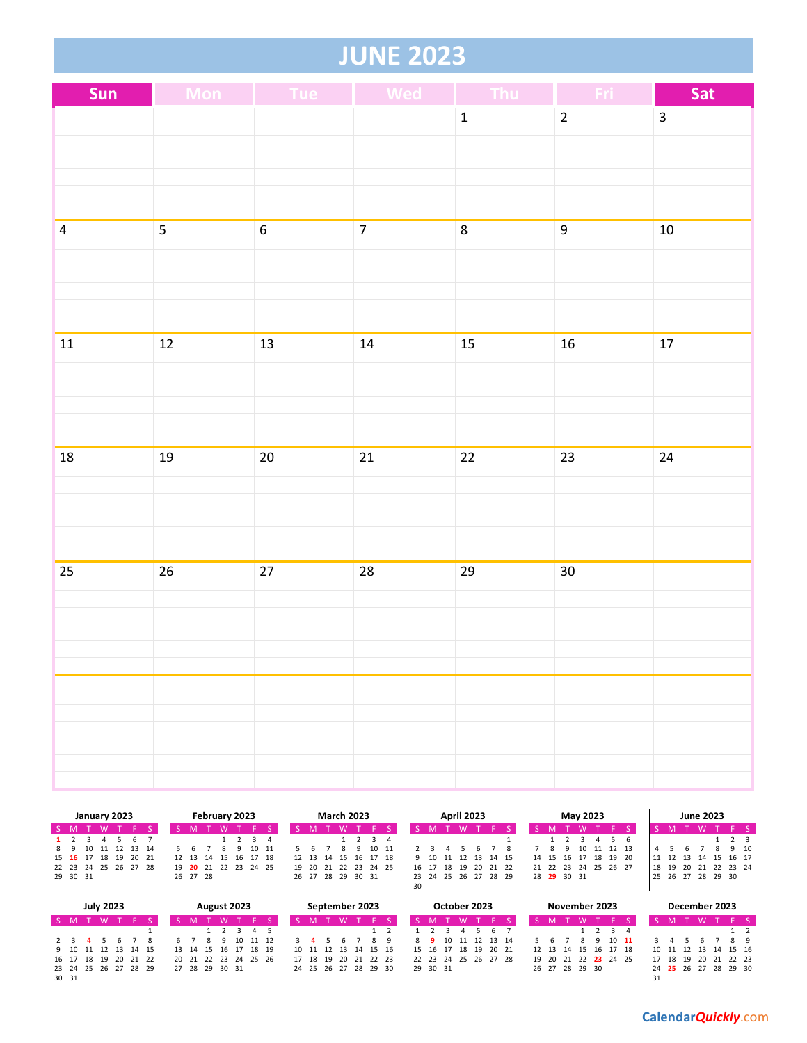#### **JUNE 2023**

| Sun            |                | Mon Tue Wed      |                | $\blacksquare$ Thu | Fri             | Sat                     |
|----------------|----------------|------------------|----------------|--------------------|-----------------|-------------------------|
|                |                |                  |                | $\mathbf 1$        | $\overline{2}$  | $\overline{\mathbf{3}}$ |
|                |                |                  |                |                    |                 |                         |
|                |                |                  |                |                    |                 |                         |
|                |                |                  |                |                    |                 |                         |
| $\overline{4}$ | $\overline{5}$ | $\boldsymbol{6}$ | $\overline{7}$ | $\overline{8}$     | 9               | $10\,$                  |
|                |                |                  |                |                    |                 |                         |
|                |                |                  |                |                    |                 |                         |
|                |                |                  |                |                    |                 |                         |
|                |                |                  |                |                    |                 |                         |
| ${\bf 11}$     | $12\,$         | $13\,$           | 14             | $15\,$             | $16\,$          | 17                      |
|                |                |                  |                |                    |                 |                         |
|                |                |                  |                |                    |                 |                         |
|                |                |                  |                |                    |                 |                         |
| ${\bf 18}$     | $19\,$         | $20\,$           | $21\,$         | $22\,$             | 23              | $24\,$                  |
|                |                |                  |                |                    |                 |                         |
|                |                |                  |                |                    |                 |                         |
|                |                |                  |                |                    |                 |                         |
| 25             | 26             | $27\,$           | 28             | 29                 | 30 <sub>o</sub> |                         |
|                |                |                  |                |                    |                 |                         |
|                |                |                  |                |                    |                 |                         |
|                |                |                  |                |                    |                 |                         |
|                |                |                  |                |                    |                 |                         |
|                |                |                  |                |                    |                 |                         |
|                |                |                  |                |                    |                 |                         |
|                |                |                  |                |                    |                 |                         |
|                |                |                  |                |                    |                 |                         |

|                      |    |    | January 2023 |             |  | February 2023 |                      | <b>March 2023</b> |       |  |  |                      |  | <b>April 2023</b> |    |         |    |    | May 2023             |    |             |   |    |                      | <b>June 2023</b> |    |    |    |                   |    |             |      |
|----------------------|----|----|--------------|-------------|--|---------------|----------------------|-------------------|-------|--|--|----------------------|--|-------------------|----|---------|----|----|----------------------|----|-------------|---|----|----------------------|------------------|----|----|----|-------------------|----|-------------|------|
| $S$ M                |    | M  |              |             |  |               |                      |                   |       |  |  |                      |  |                   |    |         |    |    |                      |    |             |   |    |                      |                  |    |    |    |                   |    |             |      |
|                      |    |    |              |             |  |               |                      |                   |       |  |  |                      |  | $3 \quad 4$       |    |         |    |    |                      |    |             |   |    |                      | $\mathbf{b}$     |    |    |    |                   |    | $2 \quad 3$ |      |
| 89                   | 10 |    |              | 11 12 13 14 |  |               |                      |                   |       |  |  |                      |  | 10 11             |    |         |    |    |                      |    |             | 9 | 10 | 11 12 13             |                  |    |    |    |                   |    |             | 9 10 |
| 15 16 17             |    | 18 | - 19         | 20 21       |  | 12 13 14      | 15                   | 16                | 17 18 |  |  | 12 13 14 15 16 17 18 |  |                   |    | 9 10 11 |    |    | 12 13 14 15          | 14 | 15 16       |   | 17 | 18 19 20             |                  |    |    |    | 14                | 15 | 16 17       |      |
| 22 23 24 25 26 27 28 |    |    |              |             |  |               | 19 20 21 22 23 24 25 |                   |       |  |  | 19 20 21             |  | 22 23 24 25       |    | 16 17   | 18 | 19 | 20 21 22             |    |             |   |    | 21 22 23 24 25 26 27 |                  | 18 | 19 | 20 | 21 22 23 24       |    |             |      |
| 29 30 31             |    |    |              |             |  | 26 27 28      |                      |                   |       |  |  | 26 27 28 29 30 31    |  |                   |    |         |    |    | 23 24 25 26 27 28 29 |    | 28 29 30 31 |   |    |                      |                  |    |    |    | 25 26 27 28 29 30 |    |             |      |
|                      |    |    |              |             |  |               |                      |                   |       |  |  |                      |  |                   | 30 |         |    |    |                      |    |             |   |    |                      |                  |    |    |    |                   |    |             |      |
|                      |    |    |              |             |  |               |                      |                   |       |  |  |                      |  |                   |    |         |    |    |                      |    |             |   |    |                      |                  |    |    |    |                   |    |             |      |

|             | <b>July 2023</b><br>August 2023 |  |           |  |                      |  |  |  |  |  |                |    | September 2023       |  |    |                      | October 2023 |  |  |                      | November 2023  |  |    |                   |                 |               | December 2023              |  |          |  |                      |  |
|-------------|---------------------------------|--|-----------|--|----------------------|--|--|--|--|--|----------------|----|----------------------|--|----|----------------------|--------------|--|--|----------------------|----------------|--|----|-------------------|-----------------|---------------|----------------------------|--|----------|--|----------------------|--|
| IS M        |                                 |  |           |  |                      |  |  |  |  |  |                |    |                      |  |    |                      |              |  |  |                      |                |  |    |                   |                 |               |                            |  |          |  |                      |  |
|             |                                 |  |           |  |                      |  |  |  |  |  |                |    | 1 2 3 4 5            |  |    |                      |              |  |  |                      | 4 5 6 7        |  |    |                   | $1 \t2 \t3 \t4$ |               |                            |  |          |  |                      |  |
|             |                                 |  | 2 3 4 5 6 |  |                      |  |  |  |  |  |                | 10 | 11 12                |  | -3 |                      |              |  |  |                      | 10 11 12 13 14 |  |    |                   | Q               | $10 \quad 11$ |                            |  |          |  | <b>R</b> 9           |  |
|             |                                 |  |           |  | 9 10 11 12 13 14 15  |  |  |  |  |  |                |    | 13 14 15 16 17 18 19 |  |    | 10 11 12 13 14 15 16 |              |  |  | 15 16 17 18 19 20 21 |                |  |    |                   |                 |               | 12  13  14  15  16  17  18 |  |          |  | 10 11 12 13 14 15 16 |  |
| 16 17 18 19 |                                 |  |           |  | 20 21 22             |  |  |  |  |  |                |    | 20 21 22 23 24 25 26 |  |    | 17 18 19             | 20 21 22 23  |  |  | 22 23 24 25 26 27 28 |                |  | 19 | 20 21 22 23 24 25 |                 |               |                            |  | 17 18 19 |  | 20 21 22 23          |  |
|             |                                 |  |           |  | 23 24 25 26 27 28 29 |  |  |  |  |  | 27 28 29 30 31 |    |                      |  |    | 24 25 26 27 28 29 30 |              |  |  | 29 30 31             |                |  |    | 26 27 28 29 30    |                 |               |                            |  |          |  | 24 25 26 27 28 29 30 |  |
| 30 31       |                                 |  |           |  |                      |  |  |  |  |  |                |    |                      |  |    |                      |              |  |  |                      |                |  |    |                   |                 |               |                            |  |          |  |                      |  |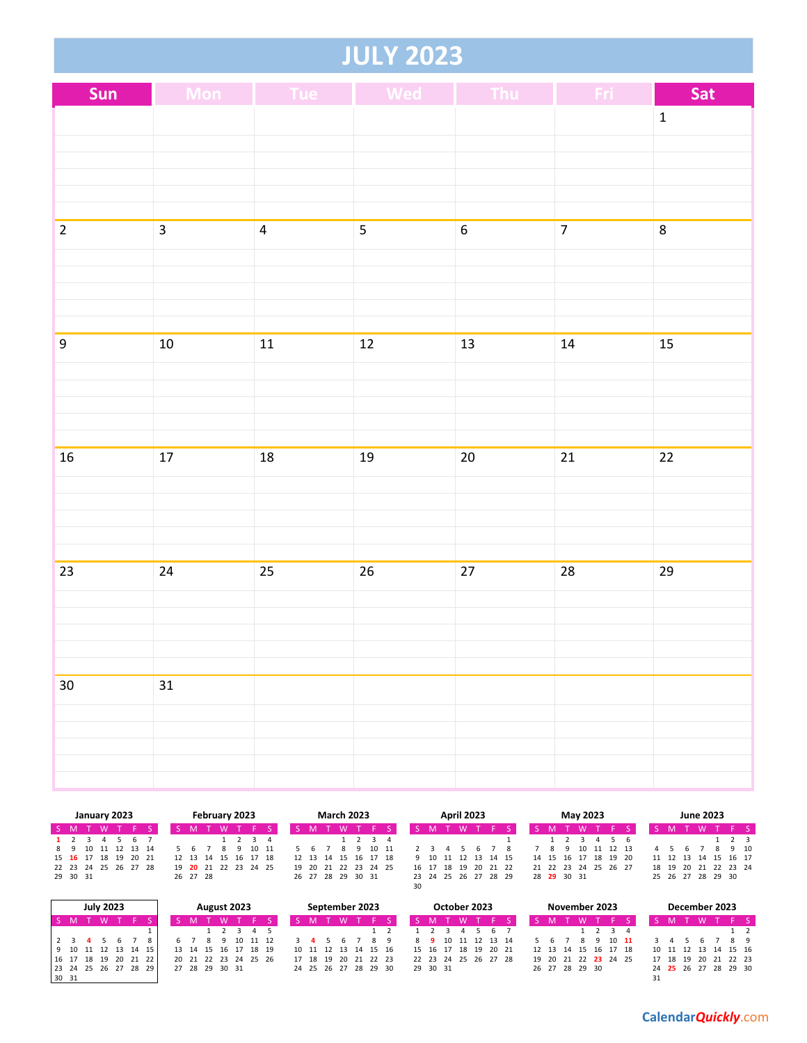#### **JULY 2023**

| Sun              |                | Mon Tue Wed             |                 | $\blacksquare$ Thu | <b>Section</b> | Sat          |
|------------------|----------------|-------------------------|-----------------|--------------------|----------------|--------------|
|                  |                |                         |                 |                    |                | $\mathbf{1}$ |
|                  |                |                         |                 |                    |                |              |
|                  |                |                         |                 |                    |                |              |
|                  |                |                         |                 |                    |                |              |
| $\overline{2}$   | $\overline{3}$ | $\overline{\mathbf{4}}$ | 5               | $\boldsymbol{6}$   | $\overline{7}$ | 8            |
|                  |                |                         |                 |                    |                |              |
|                  |                |                         |                 |                    |                |              |
|                  |                |                         |                 |                    |                |              |
| $\boldsymbol{9}$ | $10\,$         | $11\,$                  | $\overline{12}$ | $13$               | ${\bf 14}$     | 15           |
|                  |                |                         |                 |                    |                |              |
|                  |                |                         |                 |                    |                |              |
|                  |                |                         |                 |                    |                |              |
|                  |                |                         |                 |                    |                |              |
| ${\bf 16}$       | $17\,$         | $18\,$                  | 19              | $20\,$             | 21             | $22\,$       |
|                  |                |                         |                 |                    |                |              |
|                  |                |                         |                 |                    |                |              |
|                  |                |                         |                 |                    |                |              |
| 23               | 24             | 25                      | 26              | 27                 | 28             | 29           |
|                  |                |                         |                 |                    |                |              |
|                  |                |                         |                 |                    |                |              |
|                  |                |                         |                 |                    |                |              |
| $30\,$           | 31             |                         |                 |                    |                |              |
|                  |                |                         |                 |                    |                |              |
|                  |                |                         |                 |                    |                |              |
|                  |                |                         |                 |                    |                |              |
|                  |                |                         |                 |                    |                |              |

|          |  |   | January 2023 |                      |                      |          |  | February 2023 |                      |  |   | <b>March 2023</b> |   |   |                            |    |  | <b>April 2023</b> |                      |  |                      | <b>May 2023</b> |               |  |                      | <b>June 2023</b> |        |       |  |
|----------|--|---|--------------|----------------------|----------------------|----------|--|---------------|----------------------|--|---|-------------------|---|---|----------------------------|----|--|-------------------|----------------------|--|----------------------|-----------------|---------------|--|----------------------|------------------|--------|-------|--|
| S M'     |  | M |              |                      |                      |          |  |               |                      |  |   |                   | W |   |                            |    |  |                   |                      |  |                      |                 |               |  |                      |                  |        |       |  |
| 1 2      |  |   |              | -6                   |                      |          |  |               |                      |  |   |                   |   |   | $1 \t2 \t3 \t4$            |    |  |                   |                      |  |                      |                 |               |  |                      |                  |        | 1 2 3 |  |
|          |  |   |              | 8 9 10 11 12 13 14   |                      |          |  |               | 10 11                |  | 6 |                   | 8 | q | 10 11                      |    |  |                   |                      |  | 8                    |                 | 9 10 11 12 13 |  | 4 5                  |                  | 8 9 10 |       |  |
|          |  |   |              | 15 16 17 18 19 20 21 |                      | 12 13 14 |  |               | 15 16 17 18          |  |   |                   |   |   | 12  13  14  15  16  17  18 |    |  |                   | 9 10 11 12 13 14 15  |  | 14 15 16 17 18 19 20 |                 |               |  | 11 12 13 14 15 16 17 |                  |        |       |  |
|          |  |   |              |                      | 22 23 24 25 26 27 28 |          |  |               | 19 20 21 22 23 24 25 |  |   |                   |   |   | 19 20 21 22 23 24 25       |    |  | 16 17 18 19       | 20 21 22             |  | 21 22 23 24 25 26 27 |                 |               |  | 18 19 20 21 22 23 24 |                  |        |       |  |
| 29 30 31 |  |   |              |                      |                      | 26 27 28 |  |               |                      |  |   | 26 27 28 29 30 31 |   |   |                            |    |  |                   | 23 24 25 26 27 28 29 |  | 28 29 30 31          |                 |               |  | 25 26 27 28 29 30    |                  |        |       |  |
|          |  |   |              |                      |                      |          |  |               |                      |  |   |                   |   |   |                            | 30 |  |                   |                      |  |                      |                 |               |  |                      |                  |        |       |  |

|                      | <b>July 2023</b> |  |  |  | August 2023    |     |                      |    |       |  | September 2023       |  |                      | October 2023   |       |       |    |  | November 2023  |   |  |                            |    |          | December 2023        |          |    |
|----------------------|------------------|--|--|--|----------------|-----|----------------------|----|-------|--|----------------------|--|----------------------|----------------|-------|-------|----|--|----------------|---|--|----------------------------|----|----------|----------------------|----------|----|
| SM.                  | <b>W</b>         |  |  |  |                |     |                      |    |       |  |                      |  |                      |                |       |       |    |  |                | W |  |                            |    |          |                      |          |    |
|                      |                  |  |  |  |                | 4 5 |                      |    |       |  |                      |  |                      |                |       |       | 67 |  |                |   |  |                            |    |          |                      |          |    |
|                      |                  |  |  |  |                |     |                      |    |       |  |                      |  |                      | 10 11 12 13 14 |       |       |    |  |                |   |  |                            |    |          |                      |          | 89 |
| 9 10 11 12 13 14 15  |                  |  |  |  |                |     | 13 14 15 16 17 18 19 |    |       |  | 10 11 12 13 14 15 16 |  | 15 16 17             |                | 18 19 | 20 21 |    |  |                |   |  | 12  13  14  15  16  17  18 |    |          | 10 11 12 13 14 15 16 |          |    |
| 16 17 18 19 20 21 22 |                  |  |  |  |                |     | 20 21 22 23 24 25 26 | 17 | 18 19 |  | 20 21 22 23          |  | 22 23 24 25 26 27 28 |                |       |       |    |  |                |   |  | 19 20 21 22 23 24 25       |    | 17 18 19 | 20                   | 21 22 23 |    |
| 23 24 25 26 27 28 29 |                  |  |  |  | 27 28 29 30 31 |     |                      |    |       |  | 24 25 26 27 28 29 30 |  | 29 30 31             |                |       |       |    |  | 26 27 28 29 30 |   |  |                            |    |          | 24 25 26 27 28 29 30 |          |    |
| 30 31                |                  |  |  |  |                |     |                      |    |       |  |                      |  |                      |                |       |       |    |  |                |   |  |                            | 31 |          |                      |          |    |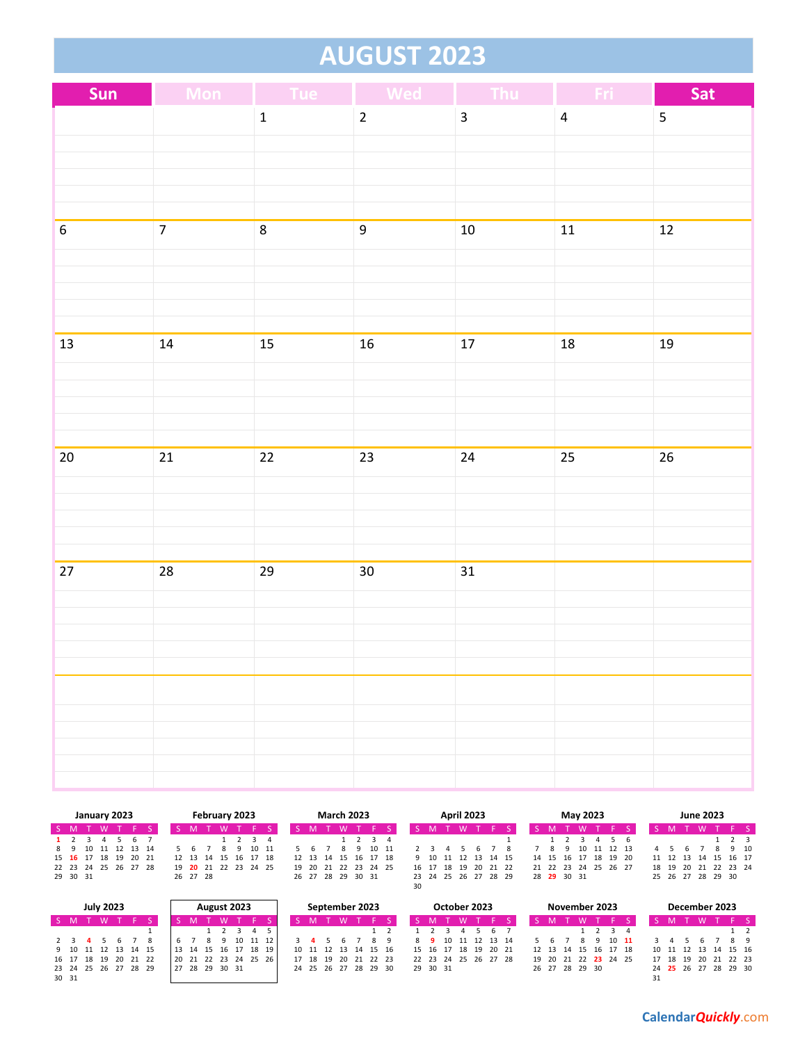#### **AUGUST 2023**

| <b>Mon</b>     |              |                         | Thu                                                         | Fri                             | Sat                |
|----------------|--------------|-------------------------|-------------------------------------------------------------|---------------------------------|--------------------|
|                | $\mathbf 1$  | $\overline{2}$          | $\overline{\mathbf{3}}$                                     | $\overline{4}$                  | 5                  |
|                |              |                         |                                                             |                                 |                    |
|                |              |                         |                                                             |                                 |                    |
|                |              |                         |                                                             |                                 |                    |
| $\overline{7}$ |              |                         |                                                             |                                 | $12\,$             |
|                |              |                         |                                                             |                                 |                    |
|                |              |                         |                                                             |                                 |                    |
|                |              |                         |                                                             |                                 |                    |
|                |              |                         |                                                             |                                 |                    |
|                |              |                         |                                                             |                                 | 19                 |
|                |              |                         |                                                             |                                 |                    |
|                |              |                         |                                                             |                                 |                    |
|                |              |                         |                                                             |                                 |                    |
| $21\,$         | $22\,$       | 23                      | 24                                                          | 25                              | 26                 |
|                |              |                         |                                                             |                                 |                    |
|                |              |                         |                                                             |                                 |                    |
|                |              |                         |                                                             |                                 |                    |
|                |              |                         |                                                             |                                 |                    |
|                |              |                         |                                                             |                                 |                    |
|                |              |                         |                                                             |                                 |                    |
|                |              |                         |                                                             |                                 |                    |
|                |              |                         |                                                             |                                 |                    |
|                |              |                         |                                                             |                                 |                    |
|                |              |                         |                                                             |                                 |                    |
|                |              |                         |                                                             |                                 |                    |
|                |              |                         |                                                             |                                 |                    |
|                | $14\,$<br>28 | $\bf 8$<br>$15\,$<br>29 | <b>Tue Wed</b><br>$\boldsymbol{9}$<br>16<br>30 <sub>o</sub> | $10\,$<br>17<br>$\overline{31}$ | $11$<br>${\bf 18}$ |

|                      |  |   | January 2023 |                |  |          | February 2023              |  |       |  | <b>March 2023</b> |  |                            |    |          | <b>April 2023</b>    |          |  |             |   | May 2023 |                                        |  |                      | <b>June 2023</b> |      |  |
|----------------------|--|---|--------------|----------------|--|----------|----------------------------|--|-------|--|-------------------|--|----------------------------|----|----------|----------------------|----------|--|-------------|---|----------|----------------------------------------|--|----------------------|------------------|------|--|
| S M                  |  | W |              |                |  |          |                            |  |       |  |                   |  |                            |    |          |                      |          |  |             |   |          |                                        |  |                      |                  |      |  |
|                      |  |   |              | 6              |  |          |                            |  |       |  |                   |  | $\overline{3}$ 4           |    |          |                      |          |  |             |   |          |                                        |  |                      |                  |      |  |
| 89                   |  |   |              | 10 11 12 13 14 |  |          |                            |  | 10 11 |  |                   |  | 10 11                      |    |          |                      |          |  |             | 9 | 10       | 11 12 13                               |  |                      |                  | 9 10 |  |
| 15 16 17 18 19 20 21 |  |   |              |                |  |          | 12  13  14  15  16  17  18 |  |       |  |                   |  | 12  13  14  15  16  17  18 |    |          | 9 10 11 12 13 14 15  |          |  |             |   |          | 14    15    16    17    18    19    20 |  | 11 12 13 14 15 16 17 |                  |      |  |
| 22 23 24 25 26 27 28 |  |   |              |                |  |          | 19 20 21 22 23 24 25       |  |       |  |                   |  | 19 20 21 22 23 24 25       |    | 16 17 18 | 19                   | 20 21 22 |  |             |   |          | 21 22 23 24 25 26 27                   |  | 18 19 20 21 22 23 24 |                  |      |  |
| 29 30 31             |  |   |              |                |  | 26 27 28 |                            |  |       |  | 26 27 28 29 30 31 |  |                            | 30 |          | 23 24 25 26 27 28 29 |          |  | 28 29 30 31 |   |          |                                        |  | 25 26 27 28 29 30    |                  |      |  |
|                      |  |   |              |                |  |          |                            |  |       |  |                   |  |                            |    |          |                      |          |  |             |   |          |                                        |  |                      |                  |      |  |

| <b>July 2023</b><br>August 2023 |  |  |     |  |  |  |    |  |  |             | September 2023 |                      |                      |  | October 2023 |  |                      |             | November 2023 |  |  |                            | December 2023 |  |  |                      |  |    |
|---------------------------------|--|--|-----|--|--|--|----|--|--|-------------|----------------|----------------------|----------------------|--|--------------|--|----------------------|-------------|---------------|--|--|----------------------------|---------------|--|--|----------------------|--|----|
|                                 |  |  |     |  |  |  |    |  |  |             |                |                      |                      |  |              |  |                      |             |               |  |  |                            |               |  |  |                      |  |    |
|                                 |  |  |     |  |  |  |    |  |  |             |                |                      |                      |  |              |  |                      |             | 567           |  |  |                            |               |  |  |                      |  |    |
| 2 3 4                           |  |  | 567 |  |  |  |    |  |  |             | 10             | 11 12                |                      |  |              |  | 8 9 10               | 11 12 13 14 |               |  |  |                            | $10 \quad 11$ |  |  |                      |  | 89 |
| 9 10 11 12 13 14 15             |  |  |     |  |  |  |    |  |  |             |                | 13 14 15 16 17 18 19 | 10 11 12 13 14 15 16 |  |              |  | 15 16 17 18 19 20 21 |             |               |  |  | 12  13  14  15  16  17  18 |               |  |  | 10 11 12 13 14 15 16 |  |    |
| 16 17 18 19 20 21 22            |  |  |     |  |  |  |    |  |  |             |                | 20 21 22 23 24 25 26 | 17 18 19 20 21 22 23 |  |              |  | 22 23 24 25 26 27 28 |             |               |  |  | 19 20 21 22 23 24 25       |               |  |  | 17 18 19 20 21 22 23 |  |    |
| 23 24 25 26 27 28 29            |  |  |     |  |  |  | 27 |  |  | 28 29 30 31 |                |                      | 24 25 26 27 28 29 30 |  |              |  | 29 30 31             |             |               |  |  | 26 27 28 29 30             |               |  |  | 24 25 26 27 28 29 30 |  |    |
| 30 31                           |  |  |     |  |  |  |    |  |  |             |                |                      |                      |  |              |  |                      |             |               |  |  |                            |               |  |  |                      |  |    |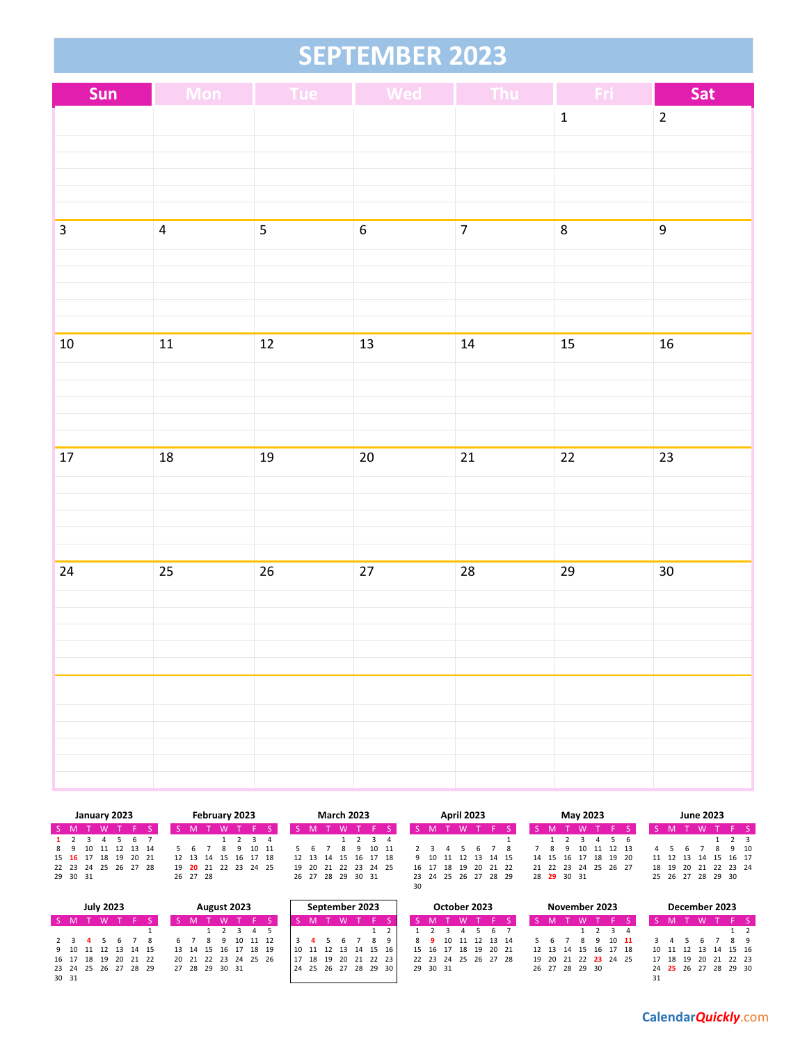## **SEPTEMBER 2023**

| Sun          |                         | Mon Tue Wed             |                  | Thu            | - Fri -      | Sat            |
|--------------|-------------------------|-------------------------|------------------|----------------|--------------|----------------|
|              |                         |                         |                  |                | $\mathbf{1}$ | $\overline{2}$ |
|              |                         |                         |                  |                |              |                |
|              |                         |                         |                  |                |              |                |
|              |                         |                         |                  |                |              |                |
| $\mathbf{3}$ | $\overline{\mathbf{4}}$ | $\overline{\mathbf{5}}$ | $\boldsymbol{6}$ | $\overline{7}$ | $\bf 8$      | 9              |
|              |                         |                         |                  |                |              |                |
|              |                         |                         |                  |                |              |                |
|              |                         |                         |                  |                |              |                |
|              |                         |                         |                  |                |              |                |
| $10\,$       | $11\,$                  | $\overline{12}$         | 13               | ${\bf 14}$     | 15           | 16             |
|              |                         |                         |                  |                |              |                |
|              |                         |                         |                  |                |              |                |
|              |                         |                         |                  |                |              |                |
| $17\,$       | $18\,$                  | $19\,$                  | $20\overline{)}$ | $21\,$         | 22           | 23             |
|              |                         |                         |                  |                |              |                |
|              |                         |                         |                  |                |              |                |
|              |                         |                         |                  |                |              |                |
|              |                         |                         |                  |                |              |                |
| $24\,$       | 25                      | $26\,$                  | 27               | 28             | 29           | 30             |
|              |                         |                         |                  |                |              |                |
|              |                         |                         |                  |                |              |                |
|              |                         |                         |                  |                |              |                |
|              |                         |                         |                  |                |              |                |
|              |                         |                         |                  |                |              |                |
|              |                         |                         |                  |                |              |                |
|              |                         |                         |                  |                |              |                |
|              |                         |                         |                  |                |              |                |

|                      |         |     |  | January 2023       |     |  |  |    |          |  | February 2023 |         |                            |                   |  | <b>March 2023</b> |  |                            |  |    |  | <b>April 2023</b> |                      |                      |  |                      | May 2023 |  |                      | <b>June 2023</b> |        |                |  |
|----------------------|---------|-----|--|--------------------|-----|--|--|----|----------|--|---------------|---------|----------------------------|-------------------|--|-------------------|--|----------------------------|--|----|--|-------------------|----------------------|----------------------|--|----------------------|----------|--|----------------------|------------------|--------|----------------|--|
| S M                  |         | T W |  |                    |     |  |  |    |          |  |               |         |                            |                   |  |                   |  |                            |  |    |  |                   |                      |                      |  |                      |          |  |                      |                  |        |                |  |
|                      | 1 2 3 4 |     |  |                    | 567 |  |  |    |          |  |               | 1 2 3 4 |                            |                   |  |                   |  | $\frac{3}{4}$              |  |    |  |                   |                      |                      |  |                      |          |  |                      |                  |        | 2 <sub>3</sub> |  |
|                      |         |     |  | 8 9 10 11 12 13 14 |     |  |  | 56 |          |  |               |         | 10 11                      | 567               |  | 8                 |  | 10 11                      |  |    |  |                   |                      |                      |  | 8 9 10 11 12 13      |          |  |                      |                  | 8 9 10 |                |  |
| 15 16 17 18 19 20 21 |         |     |  |                    |     |  |  |    |          |  |               |         | 12  13  14  15  16  17  18 |                   |  |                   |  | 12  13  14  15  16  17  18 |  |    |  |                   |                      | 9 10 11 12 13 14 15  |  | 14 15 16 17 18 19 20 |          |  | 11 12 13 14 15 16 17 |                  |        |                |  |
| 22 23 24 25 26 27 28 |         |     |  |                    |     |  |  |    |          |  |               |         | 19 20 21 22 23 24 25       |                   |  |                   |  | 19 20 21 22 23 24 25       |  |    |  |                   |                      | 16 17 18 19 20 21 22 |  | 21 22 23 24 25 26 27 |          |  | 18 19 20 21 22 23 24 |                  |        |                |  |
| 29 30 31             |         |     |  |                    |     |  |  |    | 26 27 28 |  |               |         |                            | 26 27 28 29 30 31 |  |                   |  |                            |  |    |  |                   | 23 24 25 26 27 28 29 |                      |  | 28 29 30 31          |          |  | 25 26 27 28 29 30    |                  |        |                |  |
|                      |         |     |  |                    |     |  |  |    |          |  |               |         |                            |                   |  |                   |  |                            |  | 30 |  |                   |                      |                      |  |                      |          |  |                      |                  |        |                |  |

|                      | <b>July 2023</b><br>August 2023 |                |   |  |  |  |  |  |  |                      |    |       |  | September 2023 |     |  | October 2023         |  |                      |                | November 2023 |  |  |                      | December 2023 |                                        |          |                      |      |          |            |  |
|----------------------|---------------------------------|----------------|---|--|--|--|--|--|--|----------------------|----|-------|--|----------------|-----|--|----------------------|--|----------------------|----------------|---------------|--|--|----------------------|---------------|----------------------------------------|----------|----------------------|------|----------|------------|--|
| $S$ M                |                                 |                | M |  |  |  |  |  |  |                      |    |       |  |                |     |  |                      |  |                      |                |               |  |  |                      |               |                                        |          |                      |      |          |            |  |
|                      |                                 |                |   |  |  |  |  |  |  |                      |    |       |  |                |     |  |                      |  |                      |                |               |  |  |                      |               |                                        |          |                      |      |          |            |  |
|                      |                                 | $\blacksquare$ |   |  |  |  |  |  |  |                      | 10 | 11 12 |  |                |     |  |                      |  |                      | 10 11 12 13 14 |               |  |  |                      |               | $10 \quad 11$                          |          |                      |      |          | <b>R</b> 9 |  |
| 9 10 11 12 13 14 15  |                                 |                |   |  |  |  |  |  |  | 13 14 15 16 17 18 19 |    |       |  | -11            | 12  |  | 13 14 15 16          |  | 15 16 17 18 19 20 21 |                |               |  |  |                      |               | 12    13    14    15    16    17    18 |          | 10 11 12 13 14 15 16 |      |          |            |  |
| 16 17 18 19 20 21 22 |                                 |                |   |  |  |  |  |  |  | 20 21 22 23 24 25 26 |    |       |  | 18             | -19 |  | 20 21 22 23          |  | 22 23 24 25 26 27 28 |                |               |  |  | 19 20 21 22 23 24 25 |               |                                        | 17 18 19 |                      | - 20 | 21 22 23 |            |  |
| 23 24 25 26 27 28 29 |                                 |                |   |  |  |  |  |  |  | 27 28 29 30 31       |    |       |  |                |     |  | 24 25 26 27 28 29 30 |  | 29 30 31             |                |               |  |  | 26 27 28 29 30       |               |                                        |          | 24 25 26 27 28 29 30 |      |          |            |  |
| 30 31                |                                 |                |   |  |  |  |  |  |  |                      |    |       |  |                |     |  |                      |  |                      |                |               |  |  |                      |               |                                        |          |                      |      |          |            |  |

|    |    |    | December 2023 |                |    |                |
|----|----|----|---------------|----------------|----|----------------|
|    |    |    |               |                |    |                |
|    |    |    |               |                | 1  | $\overline{2}$ |
| 3  | 4  | 5  | 6             | $\overline{7}$ | R  | q              |
| 10 | 11 |    | 12 13         | 14             | 15 | 16             |
| 17 | 18 | 19 | 20            | 21             | 22 | フコ             |
|    | 25 |    | 26 27         | 28             | 29 | ٩n             |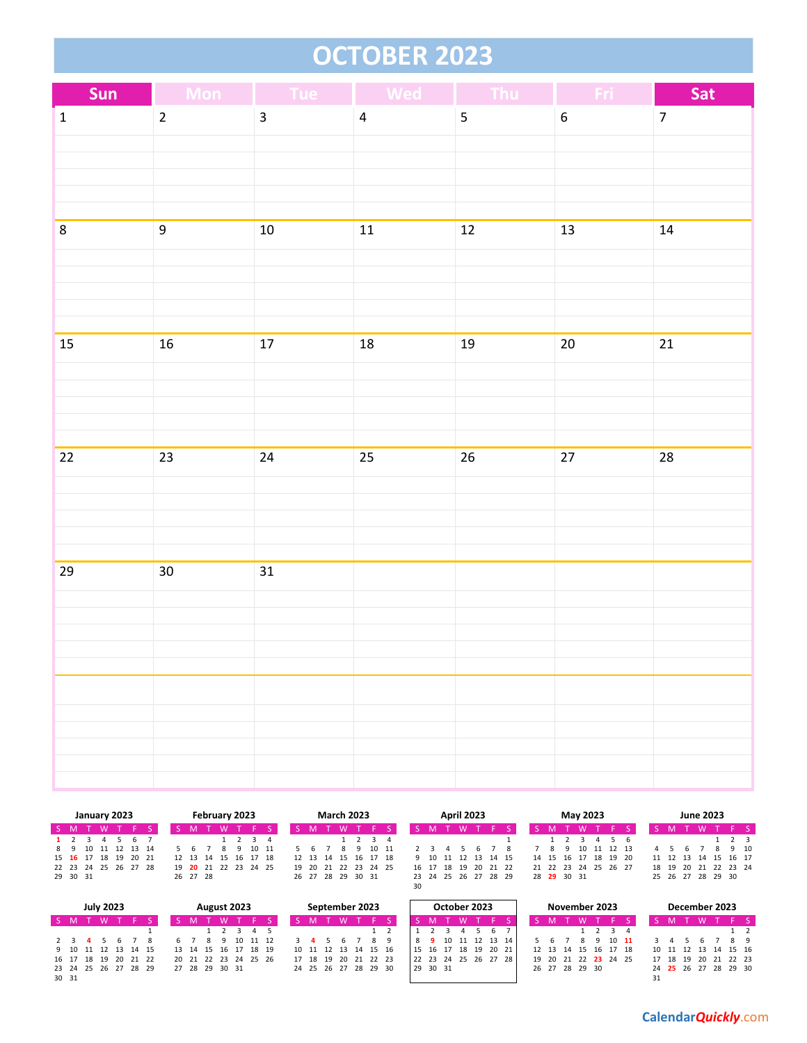# **OCTOBER 2023**

| Sun            | <b>Mon</b>       | <b>Example 1</b> Tue Med |                | Thu    | -Fri             | Sat             |
|----------------|------------------|--------------------------|----------------|--------|------------------|-----------------|
| $\binom{2}{1}$ | $\overline{2}$   | $\overline{\mathbf{3}}$  | $\overline{4}$ | 5      | $\boldsymbol{6}$ | $\overline{7}$  |
|                |                  |                          |                |        |                  |                 |
|                |                  |                          |                |        |                  |                 |
|                |                  |                          |                |        |                  |                 |
| $\bf 8$        | $\boldsymbol{9}$ | $10\,$                   | $11$           | $12\,$ | $13\,$           | $14\,$          |
|                |                  |                          |                |        |                  |                 |
|                |                  |                          |                |        |                  |                 |
|                |                  |                          |                |        |                  |                 |
|                |                  |                          |                |        |                  |                 |
| 15             | ${\bf 16}$       | $17\,$                   | $18\,$         | $19\,$ | $20\,$           | $\overline{21}$ |
|                |                  |                          |                |        |                  |                 |
|                |                  |                          |                |        |                  |                 |
|                |                  |                          |                |        |                  |                 |
| $22\,$         | $23\,$           | $24\,$                   | $25\,$         | $26\,$ | $27\,$           | 28              |
|                |                  |                          |                |        |                  |                 |
|                |                  |                          |                |        |                  |                 |
|                |                  |                          |                |        |                  |                 |
|                |                  |                          |                |        |                  |                 |
| 29             | 30 <sub>o</sub>  | 31                       |                |        |                  |                 |
|                |                  |                          |                |        |                  |                 |
|                |                  |                          |                |        |                  |                 |
|                |                  |                          |                |        |                  |                 |
|                |                  |                          |                |        |                  |                 |
|                |                  |                          |                |        |                  |                 |
|                |                  |                          |                |        |                  |                 |
|                |                  |                          |                |        |                  |                 |
|                |                  |                          |                |        |                  |                 |

|          |    |  | January 2023 |                      |  |          | February 2023        |   |             |  |  | <b>March 2023</b> |                            |    |  | <b>April 2023</b>    |  |          |                                  |    | May 2023 |             |   |                      | <b>June 2023</b> |        |  |
|----------|----|--|--------------|----------------------|--|----------|----------------------|---|-------------|--|--|-------------------|----------------------------|----|--|----------------------|--|----------|----------------------------------|----|----------|-------------|---|----------------------|------------------|--------|--|
| S M      |    |  |              | TWTFS                |  |          | W                    |   |             |  |  | M                 |                            |    |  |                      |  |          |                                  |    | W        |             |   |                      |                  |        |  |
| 1 2      |    |  |              | 5 6 7                |  |          |                      |   |             |  |  |                   | $1 \t2 \t3 \t4$            |    |  |                      |  |          |                                  |    |          |             |   |                      |                  |        |  |
|          | 89 |  |              | 10 11 12 13 14       |  |          |                      | Q | 10 11       |  |  |                   | 10 11                      |    |  |                      |  |          | - 8                              | -9 |          | 10 11 12 13 | 4 |                      |                  | 8 9 10 |  |
|          |    |  |              | 15 16 17 18 19 20 21 |  | 12 13 14 |                      |   | 15 16 17 18 |  |  |                   | 12  13  14  15  16  17  18 |    |  | 9 10 11 12 13 14 15  |  |          | 14   15   16   17   18   19   20 |    |          |             |   | 11 12 13 14 15 16 17 |                  |        |  |
|          |    |  |              | 22 23 24 25 26 27 28 |  |          | 19 20 21 22 23 24 25 |   |             |  |  |                   | 19 20 21 22 23 24 25       |    |  | 16 17 18 19          |  | 20 21 22 | 21 22 23 24 25 26 27             |    |          |             |   | 18 19 20 21 22 23 24 |                  |        |  |
| 29 30 31 |    |  |              |                      |  | 26 27 28 |                      |   |             |  |  | 26 27 28 29 30 31 |                            |    |  | 23 24 25 26 27 28 29 |  |          | 28 29 30 31                      |    |          |             |   | 25 26 27 28 29 30    |                  |        |  |
|          |    |  |              |                      |  |          |                      |   |             |  |  |                   |                            | 30 |  |                      |  |          |                                  |    |          |             |   |                      |                  |        |  |

| <b>July 2023</b><br>August 2023<br>$S$ M<br>M |  |  |  |  |  |  |  |  |  |                |    |                      |  | September 2023 |  |                      | October 2023 |          |  |                |  | November 2023 |                |                      |  |  | December 2023 |     |                      |    |  |
|-----------------------------------------------|--|--|--|--|--|--|--|--|--|----------------|----|----------------------|--|----------------|--|----------------------|--------------|----------|--|----------------|--|---------------|----------------|----------------------|--|--|---------------|-----|----------------------|----|--|
|                                               |  |  |  |  |  |  |  |  |  |                |    |                      |  |                |  |                      |              |          |  |                |  |               |                |                      |  |  |               |     |                      |    |  |
|                                               |  |  |  |  |  |  |  |  |  |                |    |                      |  |                |  |                      |              |          |  | 67             |  |               |                | 1 2 3 4              |  |  |               |     |                      |    |  |
| 2 3 4                                         |  |  |  |  |  |  |  |  |  |                | 10 | 11 12                |  |                |  |                      |              |          |  | 10 11 12 13 14 |  |               |                | $10 \quad 11$        |  |  |               |     |                      | 89 |  |
| 9 10 11 12 13 14 15                           |  |  |  |  |  |  |  |  |  |                |    | 13 14 15 16 17 18 19 |  |                |  | 10 11 12 13 14 15 16 |              | 15 16 17 |  | 18 19 20 21    |  |               |                | 12 13 14 15 16 17 18 |  |  |               |     | 10 11 12 13 14 15 16 |    |  |
| 16 17 18 19 20 21 22                          |  |  |  |  |  |  |  |  |  |                |    | 20 21 22 23 24 25 26 |  | 18 19          |  | 20 21 22 23          |              | 22 23 24 |  | 25 26 27 28    |  |               |                | 19 20 21 22 23 24 25 |  |  | 17 18 19      | -20 | 21 22 23             |    |  |
| 23 24 25 26 27 28 29                          |  |  |  |  |  |  |  |  |  | 27 28 29 30 31 |    |                      |  |                |  | 24 25 26 27 28 29 30 |              | 29 30 31 |  |                |  |               | 26 27 28 29 30 |                      |  |  |               |     | 24 25 26 27 28 29 30 |    |  |
| 30 31                                         |  |  |  |  |  |  |  |  |  |                |    |                      |  |                |  |                      |              |          |  |                |  |               |                |                      |  |  |               |     |                      |    |  |

|    |   |       | 11 12 13 14 15 16 17                   |    |                |  |
|----|---|-------|----------------------------------------|----|----------------|--|
|    |   |       | 18    19    20    21    22    23    24 |    |                |  |
|    |   |       | 25 26 27 28 29                         | 30 |                |  |
|    |   |       |                                        |    |                |  |
|    |   |       |                                        |    |                |  |
|    |   |       | December 2023                          |    |                |  |
|    |   |       |                                        |    |                |  |
| S. | M | - T - | - W                                    |    | S              |  |
|    |   |       |                                        | 1  | $\overline{2}$ |  |
|    |   |       |                                        |    |                |  |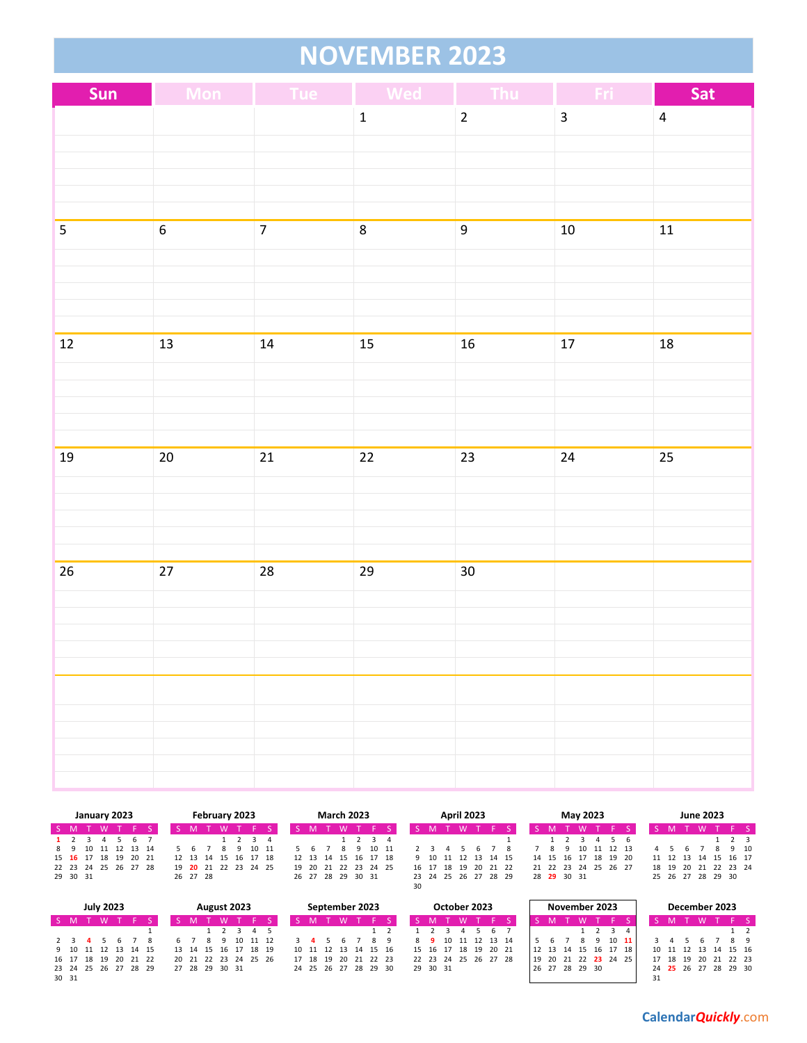## **NOVEMBER 2023**

| Sun             | Mon            | <b>Tue</b>     | <b>Wed</b><br>I. | Thu              | Fri                     | Sat                     |
|-----------------|----------------|----------------|------------------|------------------|-------------------------|-------------------------|
|                 |                |                | $\mathbf 1$      | $\overline{2}$   | $\overline{\mathbf{3}}$ | $\overline{\mathbf{4}}$ |
|                 |                |                |                  |                  |                         |                         |
|                 |                |                |                  |                  |                         |                         |
|                 |                |                |                  |                  |                         |                         |
|                 |                |                |                  |                  |                         |                         |
| $\overline{5}$  | $\overline{6}$ | $\overline{7}$ | $\bf 8$          | $\boldsymbol{9}$ | ${\bf 10}$              | 11                      |
|                 |                |                |                  |                  |                         |                         |
|                 |                |                |                  |                  |                         |                         |
|                 |                |                |                  |                  |                         |                         |
|                 |                |                |                  |                  |                         |                         |
| $\overline{12}$ | 13             | 14             | 15               | $16\,$           | $17$                    | 18                      |
|                 |                |                |                  |                  |                         |                         |
|                 |                |                |                  |                  |                         |                         |
|                 |                |                |                  |                  |                         |                         |
| $19\,$          | $20\,$         | 21             | $\overline{22}$  | $23\,$           | $24\,$                  | 25                      |
|                 |                |                |                  |                  |                         |                         |
|                 |                |                |                  |                  |                         |                         |
|                 |                |                |                  |                  |                         |                         |
|                 |                |                |                  |                  |                         |                         |
| 26              | $27\,$         | 28             | 29               | 30 <sub>o</sub>  |                         |                         |
|                 |                |                |                  |                  |                         |                         |
|                 |                |                |                  |                  |                         |                         |
|                 |                |                |                  |                  |                         |                         |
|                 |                |                |                  |                  |                         |                         |
|                 |                |                |                  |                  |                         |                         |
|                 |                |                |                  |                  |                         |                         |
|                 |                |                |                  |                  |                         |                         |
|                 |                |                |                  |                  |                         |                         |
|                 |                |                |                  |                  |                         |                         |

|                      |                 |  |  | January 2023   |          |  |  |  |          | February 2023 |                      |                            |    | <b>March 2023</b> |  |                 |    |  | <b>April 2023</b> |                      |  |             |    | May 2023             |  |                   |  | <b>June 2023</b> |                |          |
|----------------------|-----------------|--|--|----------------|----------|--|--|--|----------|---------------|----------------------|----------------------------|----|-------------------|--|-----------------|----|--|-------------------|----------------------|--|-------------|----|----------------------|--|-------------------|--|------------------|----------------|----------|
|                      | S M<br><b>W</b> |  |  |                |          |  |  |  |          |               |                      |                            |    |                   |  |                 |    |  |                   |                      |  |             |    |                      |  |                   |  |                  |                |          |
| $1 \quad 2$          |                 |  |  |                | <b>b</b> |  |  |  |          |               | 3 4                  |                            |    |                   |  | $1 \t2 \t3 \t4$ |    |  |                   |                      |  |             |    |                      |  |                   |  |                  | 2 <sub>3</sub> |          |
| 89                   |                 |  |  | 10 11 12 13 14 |          |  |  |  |          |               | 10 11                |                            | ь. |                   |  | 10 11           |    |  |                   |                      |  | -9          | 10 | 11 12 13             |  |                   |  |                  | 9 10           |          |
| 15 16 17 18          |                 |  |  |                | 19 20 21 |  |  |  | 12 13 14 | 15            | 16 17 18             | 12  13  14  15  16  17  18 |    |                   |  |                 |    |  | 9 10 11 12        | 13 14 15             |  | 14 15 16    |    | 17 18 19 20          |  | 11 12 13 14       |  |                  |                | 15 16 17 |
| 22 23 24 25 26 27 28 |                 |  |  |                |          |  |  |  |          |               | 19 20 21 22 23 24 25 | 19                         |    | 20 21 22 23 24 25 |  |                 |    |  | 16 17 18 19       | 20 21 22             |  |             |    | 21 22 23 24 25 26 27 |  | 18 19             |  | 20 21 22 23 24   |                |          |
|                      | 29 30 31        |  |  |                |          |  |  |  | 26 27 28 |               |                      |                            |    | 26 27 28 29 30 31 |  |                 |    |  |                   | 23 24 25 26 27 28 29 |  | 28 29 30 31 |    |                      |  | 25 26 27 28 29 30 |  |                  |                |          |
|                      |                 |  |  |                |          |  |  |  |          |               |                      |                            |    |                   |  |                 | 30 |  |                   |                      |  |             |    |                      |  |                   |  |                  |                |          |

|                      | <b>July 2023</b><br>August 2023<br>S M<br><b>W</b> |  |  |  |                      |  |  |  |                |  |                      |    | September 2023 |  |                      |  | October 2023 |  |  |                |                      |      |    | November 2023  |  |               | December 2023        |    |                      |     |          |    |
|----------------------|----------------------------------------------------|--|--|--|----------------------|--|--|--|----------------|--|----------------------|----|----------------|--|----------------------|--|--------------|--|--|----------------|----------------------|------|----|----------------|--|---------------|----------------------|----|----------------------|-----|----------|----|
|                      |                                                    |  |  |  |                      |  |  |  |                |  |                      |    |                |  |                      |  |              |  |  |                |                      |      |    |                |  |               |                      |    |                      |     |          |    |
|                      |                                                    |  |  |  |                      |  |  |  |                |  | $3 \t3 \t4 \t5$      |    |                |  |                      |  |              |  |  | 67             |                      |      |    |                |  |               |                      |    |                      |     |          |    |
|                      |                                                    |  |  |  |                      |  |  |  |                |  | 10 11 12             |    |                |  |                      |  |              |  |  | 10 11 12 13 14 |                      |      |    |                |  | $10 \quad 11$ |                      |    |                      |     |          | 89 |
|                      |                                                    |  |  |  | 9 10 11 12 13 14 15  |  |  |  |                |  | 13 14 15 16 17 18 19 |    |                |  | 10 11 12 13 14 15 16 |  |              |  |  |                | 15 16 17 18 19 20 21 |      |    |                |  |               | 12 13 14 15 16 17 18 |    | 10 11 12 13 14 15 16 |     |          |    |
|                      |                                                    |  |  |  | 16 17 18 19 20 21 22 |  |  |  |                |  | 20 21 22 23 24 25 26 | 17 | 18 19          |  | 20 21 22 23          |  |              |  |  |                | 22 23 24 25 26 27 28 | . 19 | 20 | 21             |  |               | 22 23 24 25          |    | 17 18 19             | -20 | 21 22 23 |    |
| 23 24 25 26 27 28 29 |                                                    |  |  |  |                      |  |  |  | 27 28 29 30 31 |  |                      |    |                |  | 24 25 26 27 28 29 30 |  | 29 30 31     |  |  |                |                      |      |    | 26 27 28 29 30 |  |               |                      |    | 24 25 26 27 28 29 30 |     |          |    |
| 30 31                |                                                    |  |  |  |                      |  |  |  |                |  |                      |    |                |  |                      |  |              |  |  |                |                      |      |    |                |  |               |                      | 31 |                      |     |          |    |